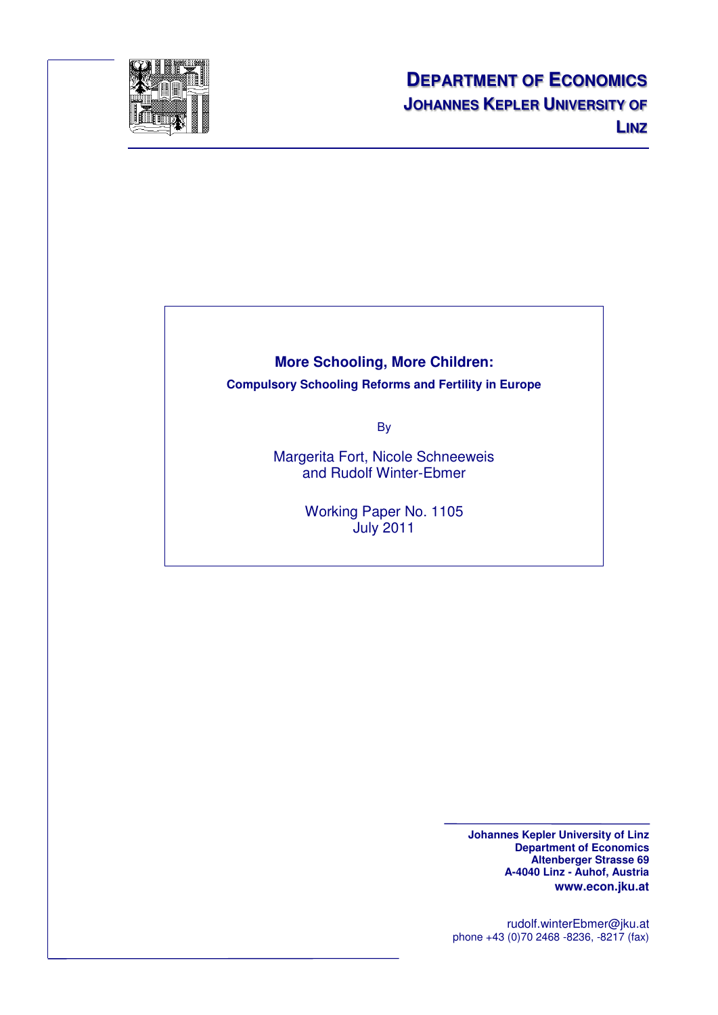

# **More Schooling, More Children: Compulsory Schooling Reforms and Fertility in Europe**

By

Margerita Fort, Nicole Schneeweis and Rudolf Winter-Ebmer

> Working Paper No. 1105 July 2011

> > **Johannes Kepler University of Linz Department of Economics Altenberger Strasse 69 A-4040 Linz - Auhof, Austria www.econ.jku.at**

rudolf.winterEbmer@jku.at phone +43 (0)70 2468 -8236, -8217 (fax)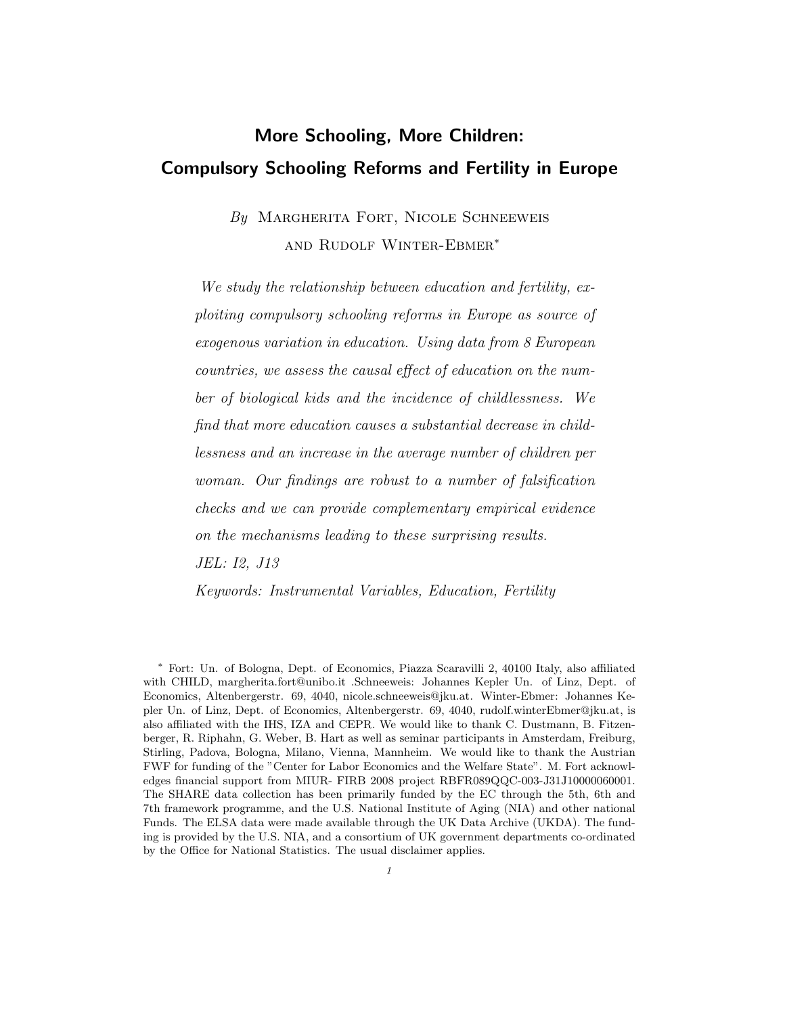# More Schooling, More Children: Compulsory Schooling Reforms and Fertility in Europe

# $By$  MARGHERITA FORT, NICOLE SCHNEEWEIS and Rudolf Winter-Ebmer<sup>∗</sup>

We study the relationship between education and fertility, exploiting compulsory schooling reforms in Europe as source of exogenous variation in education. Using data from 8 European countries, we assess the causal effect of education on the number of biological kids and the incidence of childlessness. We find that more education causes a substantial decrease in childlessness and an increase in the average number of children per woman. Our findings are robust to a number of falsification checks and we can provide complementary empirical evidence on the mechanisms leading to these surprising results. JEL: I2, J13

Keywords: Instrumental Variables, Education, Fertility

<sup>∗</sup> Fort: Un. of Bologna, Dept. of Economics, Piazza Scaravilli 2, 40100 Italy, also affiliated with CHILD, [margherita.fort@unibo.it](mailto:margherita.fort@unibo.it) .Schneeweis: Johannes Kepler Un. of Linz, Dept. of Economics, Altenbergerstr. 69, 4040, [nicole.schneeweis@jku.at.](mailto:nicole.schneeweis@jku.at) Winter-Ebmer: Johannes Kepler Un. of Linz, Dept. of Economics, Altenbergerstr. 69, 4040, [rudolf.winterEbmer@jku.at,](mailto:rudolf.winterebmer@jku.at) is also affiliated with the IHS, IZA and CEPR. We would like to thank C. Dustmann, B. Fitzenberger, R. Riphahn, G. Weber, B. Hart as well as seminar participants in Amsterdam, Freiburg, Stirling, Padova, Bologna, Milano, Vienna, Mannheim. We would like to thank the Austrian FWF for funding of the "Center for Labor Economics and the Welfare State". M. Fort acknowledges financial support from MIUR- FIRB 2008 project RBFR089QQC-003-J31J10000060001. The SHARE data collection has been primarily funded by the EC through the 5th, 6th and 7th framework programme, and the U.S. National Institute of Aging (NIA) and other national Funds. The ELSA data were made available through the UK Data Archive (UKDA). The funding is provided by the U.S. NIA, and a consortium of UK government departments co-ordinated by the Office for National Statistics. The usual disclaimer applies.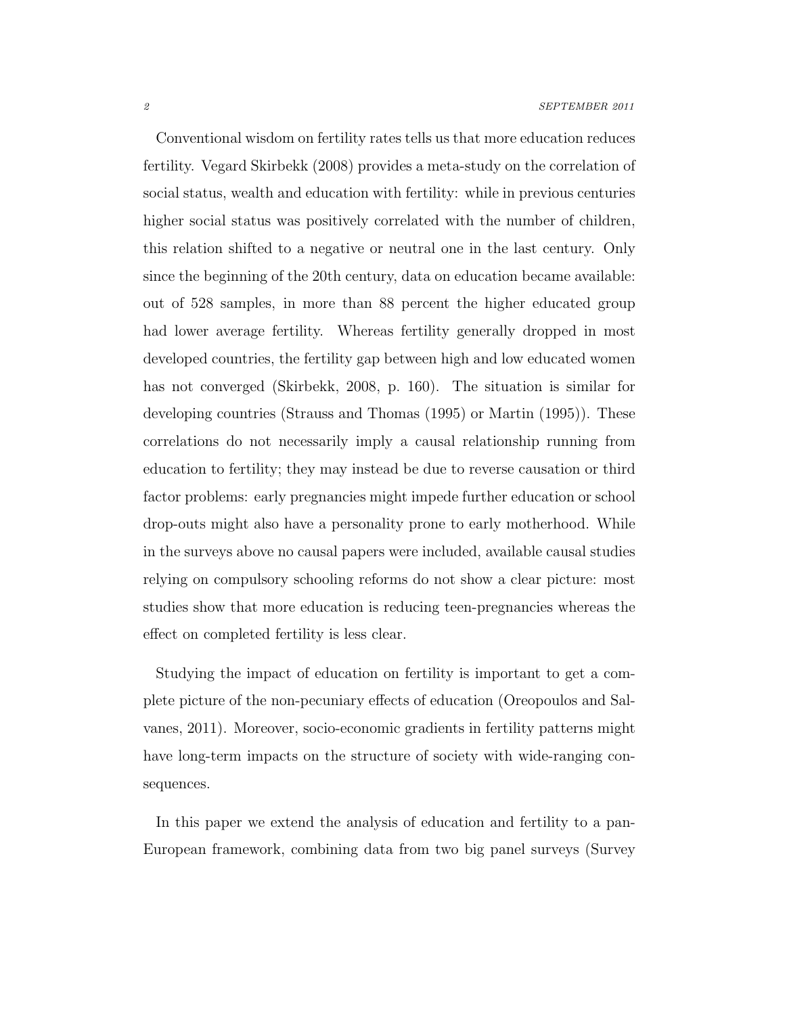Conventional wisdom on fertility rates tells us that more education reduces fertility. [Vegard Skirbekk \(2008\)](#page-36-0) provides a meta-study on the correlation of social status, wealth and education with fertility: while in previous centuries higher social status was positively correlated with the number of children, this relation shifted to a negative or neutral one in the last century. Only since the beginning of the 20th century, data on education became available: out of 528 samples, in more than 88 percent the higher educated group had lower average fertility. Whereas fertility generally dropped in most developed countries, the fertility gap between high and low educated women has not converged [\(Skirbekk, 2008,](#page-36-0) p. 160). The situation is similar for developing countries [\(Strauss and Thomas \(1995\)](#page-36-1) or [Martin \(1995\)](#page-35-0)). These correlations do not necessarily imply a causal relationship running from education to fertility; they may instead be due to reverse causation or third factor problems: early pregnancies might impede further education or school drop-outs might also have a personality prone to early motherhood. While in the surveys above no causal papers were included, available causal studies relying on compulsory schooling reforms do not show a clear picture: most studies show that more education is reducing teen-pregnancies whereas the effect on completed fertility is less clear.

Studying the impact of education on fertility is important to get a complete picture of the non-pecuniary effects of education [\(Oreopoulos and Sal](#page-36-2)[vanes, 2011\)](#page-36-2). Moreover, socio-economic gradients in fertility patterns might have long-term impacts on the structure of society with wide-ranging consequences.

<span id="page-2-0"></span>In this paper we extend the analysis of education and fertility to a pan-European framework, combining data from two big panel surveys (Survey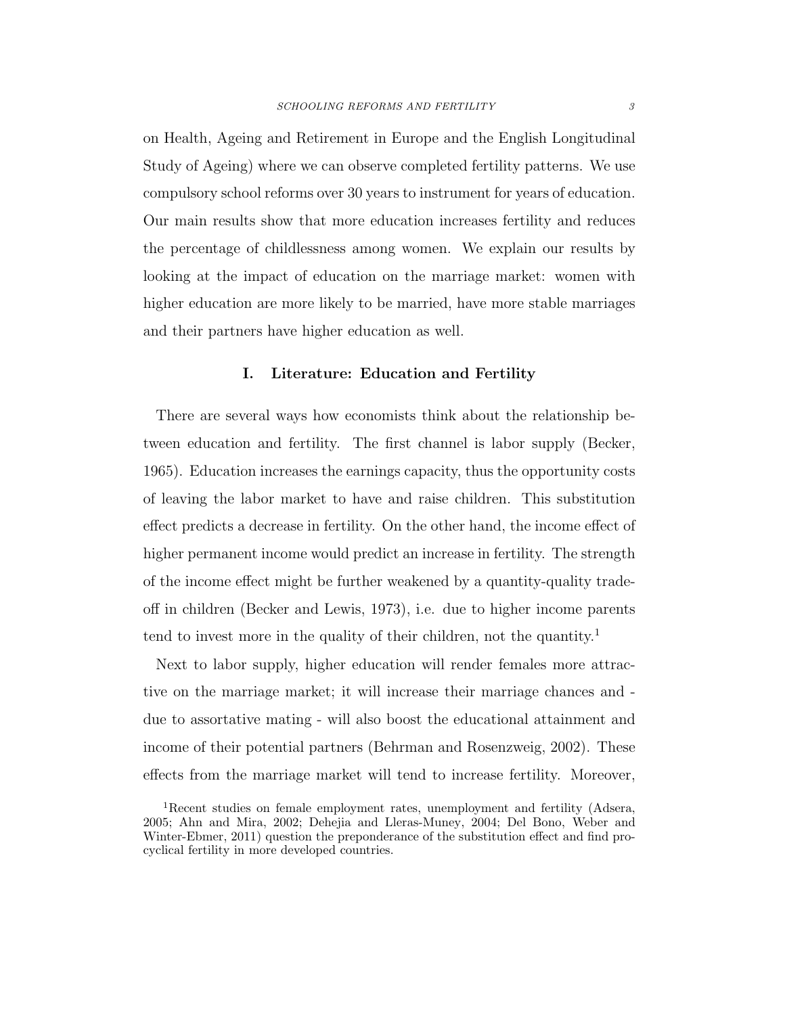on Health, Ageing and Retirement in Europe and the English Longitudinal Study of Ageing) where we can observe completed fertility patterns. We use compulsory school reforms over 30 years to instrument for years of education. Our main results show that more education increases fertility and reduces the percentage of childlessness among women. We explain our results by looking at the impact of education on the marriage market: women with higher education are more likely to be married, have more stable marriages and their partners have higher education as well.

### I. Literature: Education and Fertility

There are several ways how economists think about the relationship between education and fertility. The first channel is labor supply [\(Becker,](#page-32-0) [1965\)](#page-32-0). Education increases the earnings capacity, thus the opportunity costs of leaving the labor market to have and raise children. This substitution effect predicts a decrease in fertility. On the other hand, the income effect of higher permanent income would predict an increase in fertility. The strength of the income effect might be further weakened by a quantity-quality tradeoff in children [\(Becker and Lewis, 1973\)](#page-32-1), i.e. due to higher income parents tend to invest more in the quality of their children, not the quantity.<sup>[1](#page-2-0)</sup>

Next to labor supply, higher education will render females more attractive on the marriage market; it will increase their marriage chances and due to assortative mating - will also boost the educational attainment and income of their potential partners [\(Behrman and Rosenzweig,](#page-32-2) [2002\)](#page-32-2). These effects from the marriage market will tend to increase fertility. Moreover,

<sup>1</sup>Recent studies on female employment rates, unemployment and fertility [\(Adsera,](#page-32-3) [2005;](#page-32-3) [Ahn and Mira, 2002;](#page-32-4) [Dehejia and Lleras-Muney, 2004;](#page-33-0) [Del Bono, Weber and](#page-33-1) [Winter-Ebmer, 2011\)](#page-33-1) question the preponderance of the substitution effect and find procyclical fertility in more developed countries.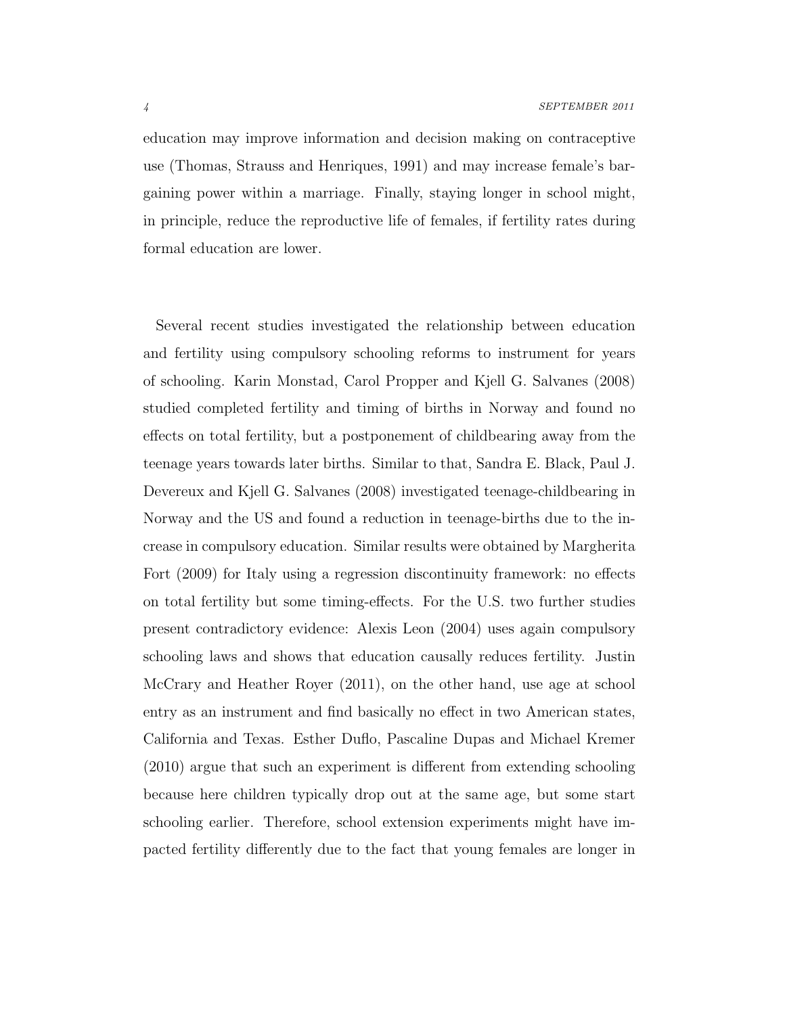education may improve information and decision making on contraceptive use [\(Thomas, Strauss and Henriques, 1991\)](#page-36-3) and may increase female's bargaining power within a marriage. Finally, staying longer in school might, in principle, reduce the reproductive life of females, if fertility rates during formal education are lower.

<span id="page-4-0"></span>Several recent studies investigated the relationship between education and fertility using compulsory schooling reforms to instrument for years of schooling. [Karin Monstad, Carol Propper and Kjell G. Salvanes \(2008\)](#page-35-1) studied completed fertility and timing of births in Norway and found no effects on total fertility, but a postponement of childbearing away from the teenage years towards later births. Similar to that, Sandra [E. Black, Paul J.](#page-32-5) [Devereux and Kjell G. Salvanes \(2008\)](#page-32-5) investigated teenage-childbearing in Norway and the US and found a reduction in teenage-births due to the increase in compulsory education. Similar results were obtained by [Margherita](#page-34-0) [Fort \(2009\)](#page-34-0) for Italy using a regression discontinuity framework: no effects on total fertility but some timing-effects. For the U.S. two further studies present contradictory evidence: [Alexis Leon \(2004\)](#page-35-2) uses again compulsory schooling laws and shows that education causally reduces fertility. [Justin](#page-35-3) [McCrary and Heather Royer \(2011\)](#page-35-3), on the other hand, use age at school entry as an instrument and find basically no effect in two American states, California and Texas. [Esther Duflo, Pascaline Dupas and Michael Kremer](#page-34-1) [\(2010\)](#page-34-1) argue that such an experiment is different from extending schooling because here children typically drop out at the same age, but some start schooling earlier. Therefore, school extension experiments might have impacted fertility differently due to the fact that young females are longer in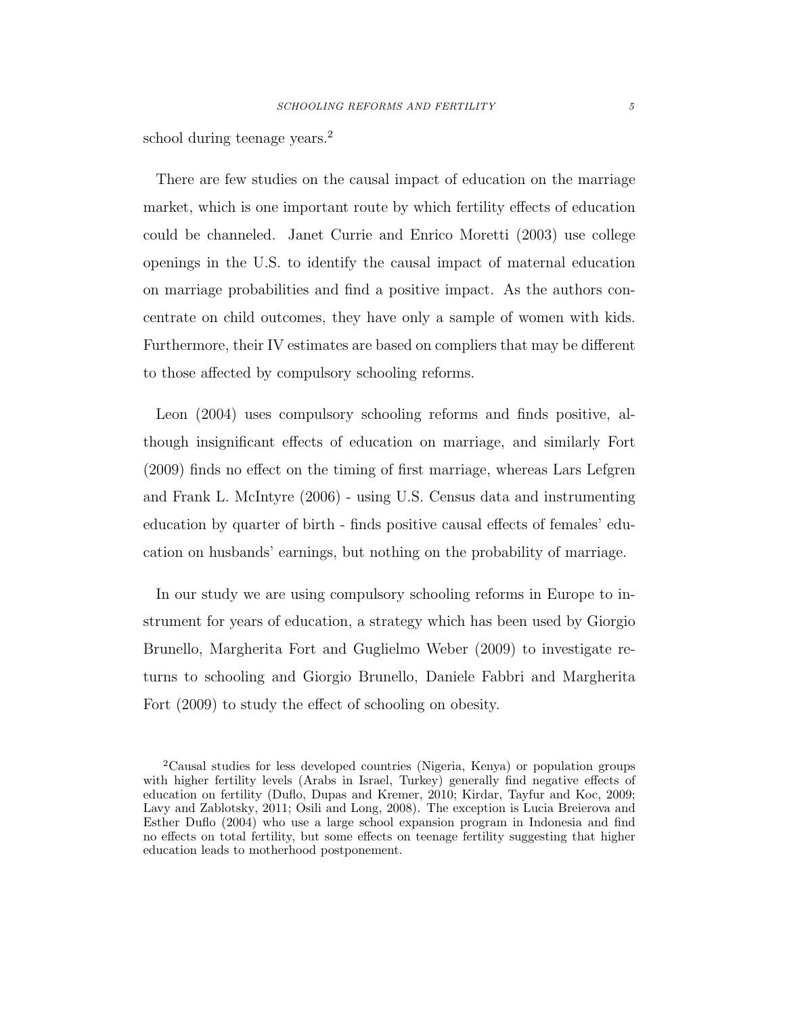school during teenage years.<sup>[2](#page-4-0)</sup>

There are few studies on the causal impact of education on the marriage market, which is one important route by which fertility effects of education could be channeled. [Janet Currie and Enrico Moretti \(2003\)](#page-33-2) use college openings in the U.S. to identify the causal impact of maternal education on marriage probabilities and find a positive impact. As the authors concentrate on child outcomes, they have only a sample of women with kids. Furthermore, their IV estimates are based on compliers that may be different to those affected by compulsory schooling reforms.

[Leon \(2004\)](#page-35-2) uses compulsory schooling reforms and finds positive, although insignificant effects of education on marriage, and similarly [Fort](#page-34-0) [\(2009\)](#page-34-0) finds no effect on the timing of first marriage, whereas [Lars Lefgren](#page-35-4) [and Frank L. McIntyre \(2006\)](#page-35-4) - using U.S. Census data and instrumenting education by quarter of birth - finds positive causal effects of females' education on husbands' earnings, but nothing on the probability of marriage.

In our study we are using compulsory schooling reforms in Europe to instrument for years of education, a strategy which has been used by [Giorgio](#page-33-3) [Brunello, Margherita Fort and Guglielmo Weber \(2009\)](#page-33-3) to investigate returns to schooling and [Giorgio Brunello, Daniele Fabbri and](#page-33-4) Margherita [Fort \(2009\)](#page-33-4) to study the effect of schooling on obesity.

<sup>2</sup>Causal studies for less developed countries (Nigeria, Kenya) or population groups with higher fertility levels (Arabs in Israel, Turkey) generally find negative effects of education on fertility [\(Duflo, Dupas and Kremer, 2010;](#page-34-1) [Kirdar, Tayfur and Koc, 2009;](#page-35-5) [Lavy and Zablotsky, 2011;](#page-35-6) [Osili and Long, 2008\)](#page-36-4). The exception is [Lucia Breierova](#page-33-5) and [Esther Duflo \(2004\)](#page-33-5) who use a large school expansion program in Indonesia and find no effects on total fertility, but some effects on teenage fertility suggesting that higher education leads to motherhood postponement.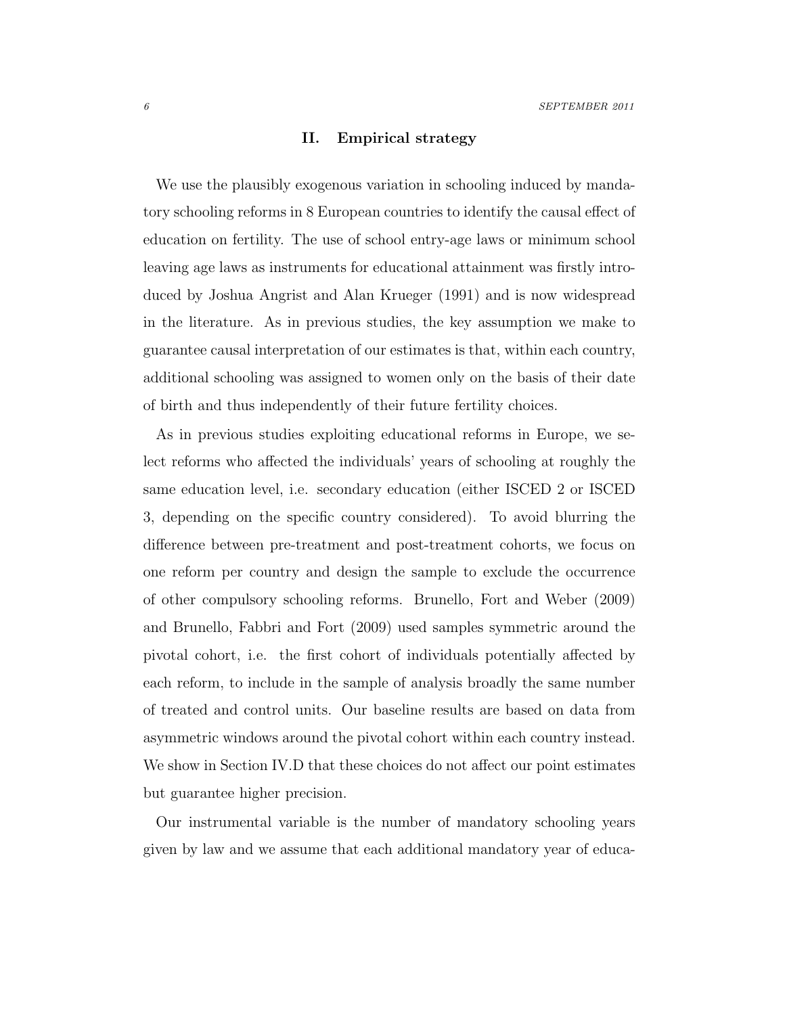#### II. Empirical strategy

We use the plausibly exogenous variation in schooling induced by mandatory schooling reforms in 8 European countries to identify the causal effect of education on fertility. The use of school entry-age laws or minimum school leaving age laws as instruments for educational attainment was firstly introduced by [Joshua Angrist and Alan Krueger \(1991\)](#page-32-6) and is now widespread in the literature. As in previous studies, the key assumption we make to guarantee causal interpretation of our estimates is that, within each country, additional schooling was assigned to women only on the basis of their date of birth and thus independently of their future fertility choices.

<span id="page-6-2"></span><span id="page-6-1"></span>As in previous studies exploiting educational reforms in Europe, we select reforms who affected the individuals' years of schooling at roughly the same education level, i.e. secondary education (either ISCED 2 or ISCED 3, depending on the specific country considered). To avoid blurring the difference between pre-treatment and post-treatment cohorts, we focus on one reform per country and design the sample to exclude the occurrence of other compulsory schooling reforms. [Brunello, Fort and Weber \(2009\)](#page-33-3) and [Brunello, Fabbri and Fort \(2009\)](#page-33-4) used samples symmetric around the pivotal cohort, i.e. the first cohort of individuals potentially affected by each reform, to include in the sample of analysis broadly the same number of treated and control units. Our baseline results are based on data from asymmetric windows around the pivotal cohort within each country instead. We show in Section [IV.D](#page-29-0) that these choices do not affect our point estimates but guarantee higher precision.

<span id="page-6-3"></span><span id="page-6-0"></span>Our instrumental variable is the number of mandatory schooling years given by law and we assume that each additional mandatory year of educa-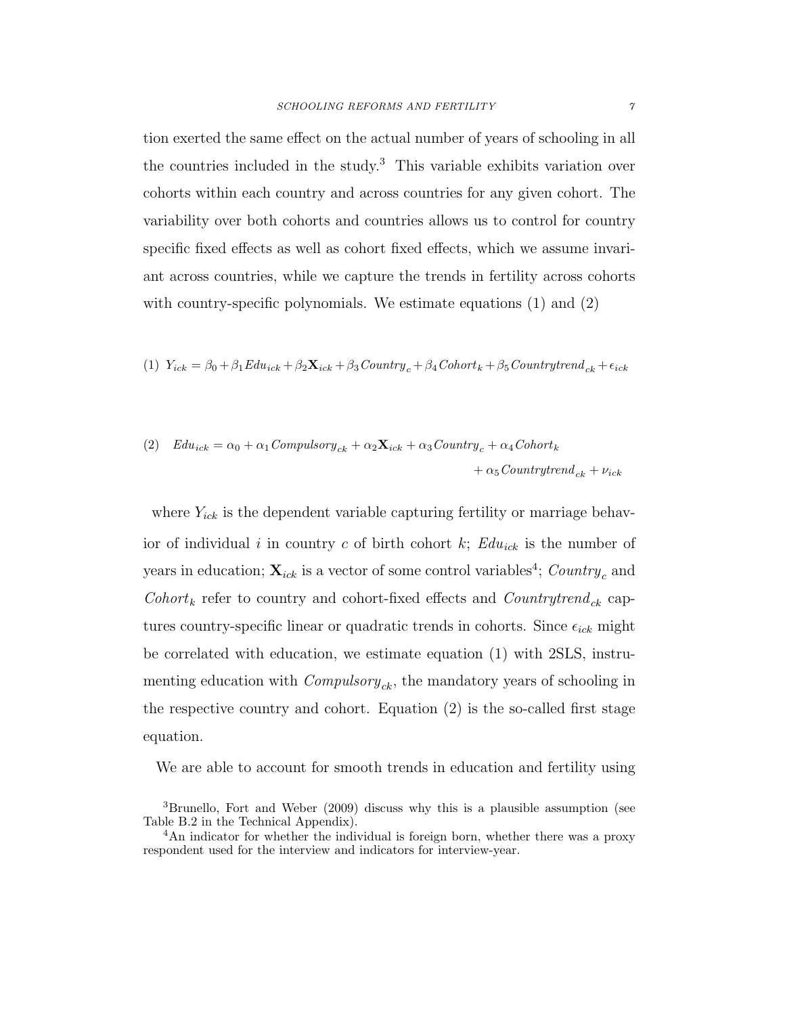tion exerted the same effect on the actual number of years of schooling in all the countries included in the study.<sup>[3](#page-6-0)</sup> This variable exhibits variation over cohorts within each country and across countries for any given cohort. The variability over both cohorts and countries allows us to control for country specific fixed effects as well as cohort fixed effects, which we assume invariant across countries, while we capture the trends in fertility across cohorts with country-specific polynomials. We estimate equations [\(1\)](#page-6-1) and [\(2\)](#page-6-2)

(1) 
$$
Y_{ick} = \beta_0 + \beta_1 E du_{ick} + \beta_2 \mathbf{X}_{ick} + \beta_3 \text{Country}_c + \beta_4 \text{Cohort}_k + \beta_5 \text{Country} trend_{ck} + \epsilon_{ick}
$$

(2) 
$$
Edu_{ick} = \alpha_0 + \alpha_1 \text{Complexs} \text{ or } y_{ck} + \alpha_2 \mathbf{X}_{ick} + \alpha_3 \text{Country}_c + \alpha_4 \text{Cohort}_k + \alpha_5 \text{Country} \text{ trend}_{ck} + \nu_{ick}
$$

where  $Y_{ick}$  is the dependent variable capturing fertility or marriage behavior of individual i in country c of birth cohort k;  $Edu_{ick}$  is the number of years in education;  $\mathbf{X}_{ick}$  is a vector of some control variables<sup>[4](#page-6-3)</sup>; Country<sub>c</sub> and  $Cohort_k$  refer to country and cohort-fixed effects and  $Country trend_{ck}$  captures country-specific linear or quadratic trends in cohorts. Since  $\epsilon_{ick}$  might be correlated with education, we estimate equation [\(1\)](#page-6-1) with 2SLS, instrumenting education with  $Computsory_{ck}$ , the mandatory years of schooling in the respective country and cohort. Equation [\(2\)](#page-6-2) is the so-called first stage equation.

<span id="page-7-0"></span>We are able to account for smooth trends in education and fertility using

<sup>3</sup>[Brunello, Fort and Weber \(2009\)](#page-33-3) discuss why this is a plausible assumption (see Table B.2 in the Technical Appendix).

<sup>&</sup>lt;sup>4</sup>An indicator for whether the individual is foreign born, whether there was a proxy respondent used for the interview and indicators for interview-year.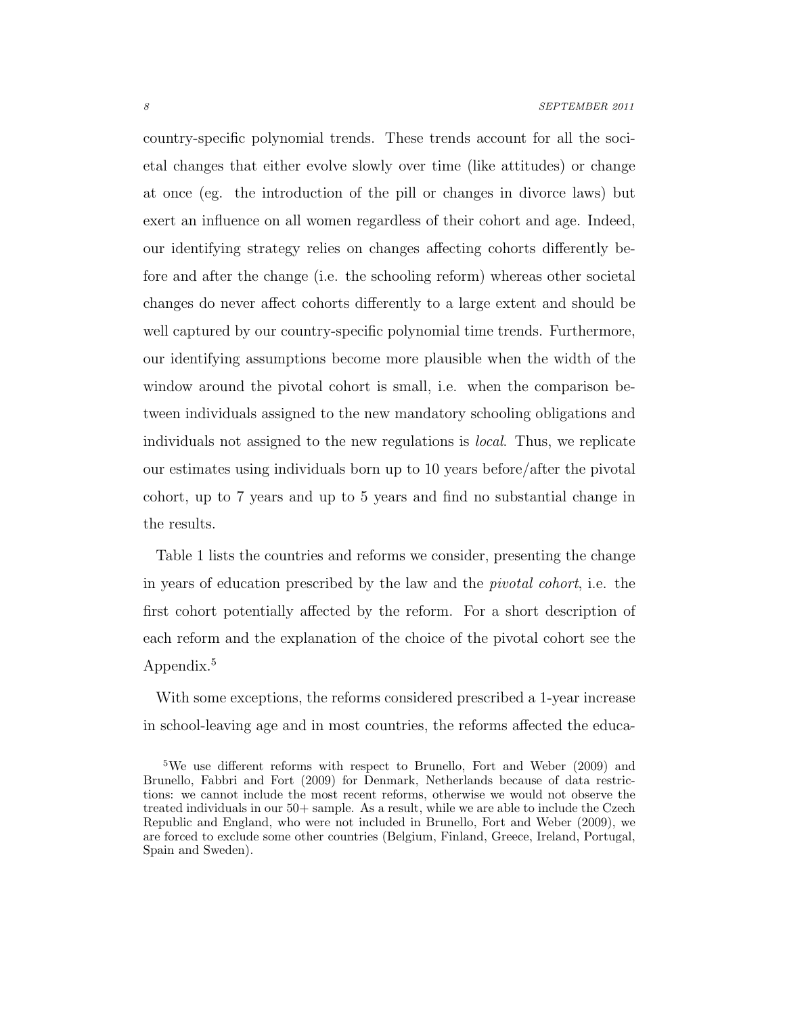<span id="page-8-0"></span>country-specific polynomial trends. These trends account for all the societal changes that either evolve slowly over time (like attitudes) or change at once (eg. the introduction of the pill or changes in divorce laws) but exert an influence on all women regardless of their cohort and age. Indeed, our identifying strategy relies on changes affecting cohorts differently before and after the change (i.e. the schooling reform) whereas other societal changes do never affect cohorts differently to a large extent and should be well captured by our country-specific polynomial time trends. Furthermore, our identifying assumptions become more plausible when the width of the window around the pivotal cohort is small, i.e. when the comparison between individuals assigned to the new mandatory schooling obligations and individuals not assigned to the new regulations is local. Thus, we replicate our estimates using individuals born up to 10 years before/after the pivotal cohort, up to 7 years and up to 5 years and find no substantial change in the results.

Table [1](#page-8-0) lists the countries and reforms we consider, presenting the change in years of education prescribed by the law and the pivotal cohort, i.e. the first cohort potentially affected by the reform. For a short description of each reform and the explanation of the choice of the pivotal cohort see the Appendix.<sup>[5](#page-7-0)</sup>

With some exceptions, the reforms considered prescribed a 1-year increase in school-leaving age and in most countries, the reforms affected the educa-

<span id="page-8-1"></span><sup>5</sup>We use different reforms with respect to [Brunello, Fort and Weber \(2009\)](#page-33-3) and [Brunello, Fabbri and Fort \(2009\)](#page-33-4) for Denmark, Netherlands because of data restrictions: we cannot include the most recent reforms, otherwise we would not observe the treated individuals in our 50+ sample. As a result, while we are able to include the Czech Republic and England, who were not included in [Brunello, Fort and Weber \(2009\)](#page-33-3), we are forced to exclude some other countries (Belgium, Finland, Greece, Ireland, Portugal, Spain and Sweden).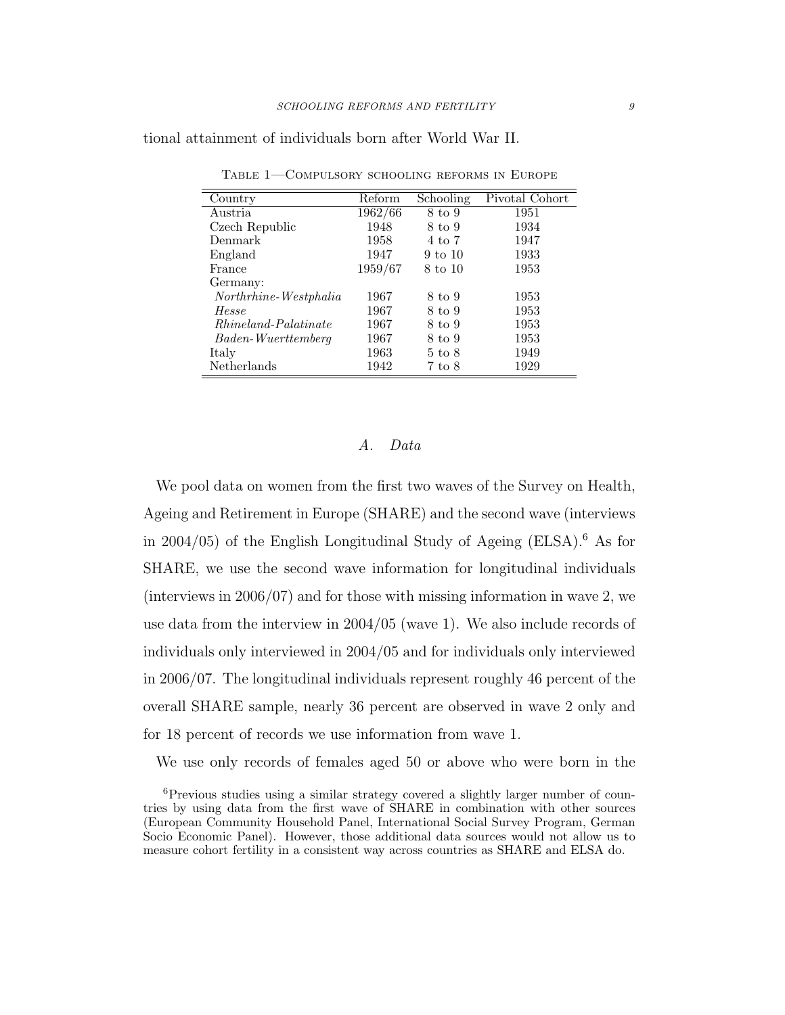tional attainment of individuals born after World War II.

| Country                     | Reform  | Schooling         | Pivotal Cohort |
|-----------------------------|---------|-------------------|----------------|
| Austria.                    | 1962/66 | 8 to 9            | 1951           |
| Czech Republic              | 1948    | 8 to 9            | 1934           |
| Denmark                     | 1958    | 4 to 7            | 1947           |
| England                     | 1947    | 9 to 10           | 1933           |
| France                      | 1959/67 | 8 to 10           | 1953           |
| Germany:                    |         |                   |                |
| Northrhine-Westphalia       | 1967    | 8 to 9            | 1953           |
| Hesse                       | 1967    | 8 to 9            | 1953           |
| <i>Rhineland-Palatinate</i> | 1967    | 8 to 9            | 1953           |
| Baden-Wuerttemberg          | 1967    | 8 to 9            | 1953           |
| Italy                       | 1963    | $5 \text{ to } 8$ | 1949           |
| Netherlands                 | 1942    | 7 to 8            | 1929           |

Table 1—Compulsory schooling reforms in Europe

# A. Data

We pool data on women from the first two waves of the Survey on Health, Ageing and Retirement in Europe (SHARE) and the second wave (interviews in 2004/05) of the English Longitudinal Study of Ageing (ELSA). [6](#page-8-1) As for SHARE, we use the second wave information for longitudinal individuals (interviews in 2006/07) and for those with missing information in wave 2, we use data from the interview in 2004/05 (wave 1). We also include records of individuals only interviewed in 2004/05 and for individuals only interviewed in 2006/07. The longitudinal individuals represent roughly 46 percent of the overall SHARE sample, nearly 36 percent are observed in wave 2 only and for 18 percent of records we use information from wave 1.

We use only records of females aged 50 or above who were born in the

<span id="page-9-0"></span><sup>6</sup>Previous studies using a similar strategy covered a slightly larger number of countries by using data from the first wave of SHARE in combination with other sources (European Community Household Panel, International Social Survey Program, German Socio Economic Panel). However, those additional data sources would not allow us to measure cohort fertility in a consistent way across countries as SHARE and ELSA do.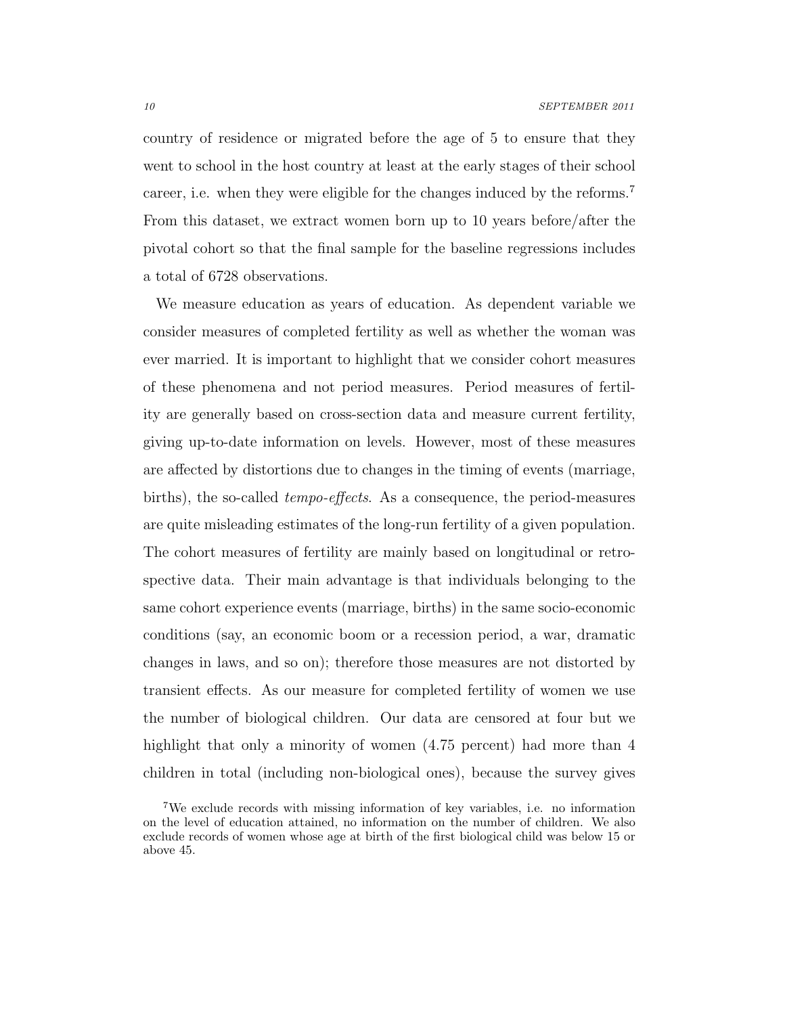country of residence or migrated before the age of 5 to ensure that they went to school in the host country at least at the early stages of their school career, i.e. when they were eligible for the changes induced by the reforms.[7](#page-9-0) From this dataset, we extract women born up to 10 years before/after the pivotal cohort so that the final sample for the baseline regressions includes a total of 6728 observations.

We measure education as years of education. As dependent variable we consider measures of completed fertility as well as whether the woman was ever married. It is important to highlight that we consider cohort measures of these phenomena and not period measures. Period measures of fertility are generally based on cross-section data and measure current fertility, giving up-to-date information on levels. However, most of these measures are affected by distortions due to changes in the timing of events (marriage, births), the so-called tempo-effects. As a consequence, the period-measures are quite misleading estimates of the long-run fertility of a given population. The cohort measures of fertility are mainly based on longitudinal or retrospective data. Their main advantage is that individuals belonging to the same cohort experience events (marriage, births) in the same socio-economic conditions (say, an economic boom or a recession period, a war, dramatic changes in laws, and so on); therefore those measures are not distorted by transient effects. As our measure for completed fertility of women we use the number of biological children. Our data are censored at four but we highlight that only a minority of women  $(4.75$  percent) had more than 4 children in total (including non-biological ones), because the survey gives

<span id="page-10-0"></span><sup>7</sup>We exclude records with missing information of key variables, i.e. no information on the level of education attained, no information on the number of children. We also exclude records of women whose age at birth of the first biological child was below 15 or above 45.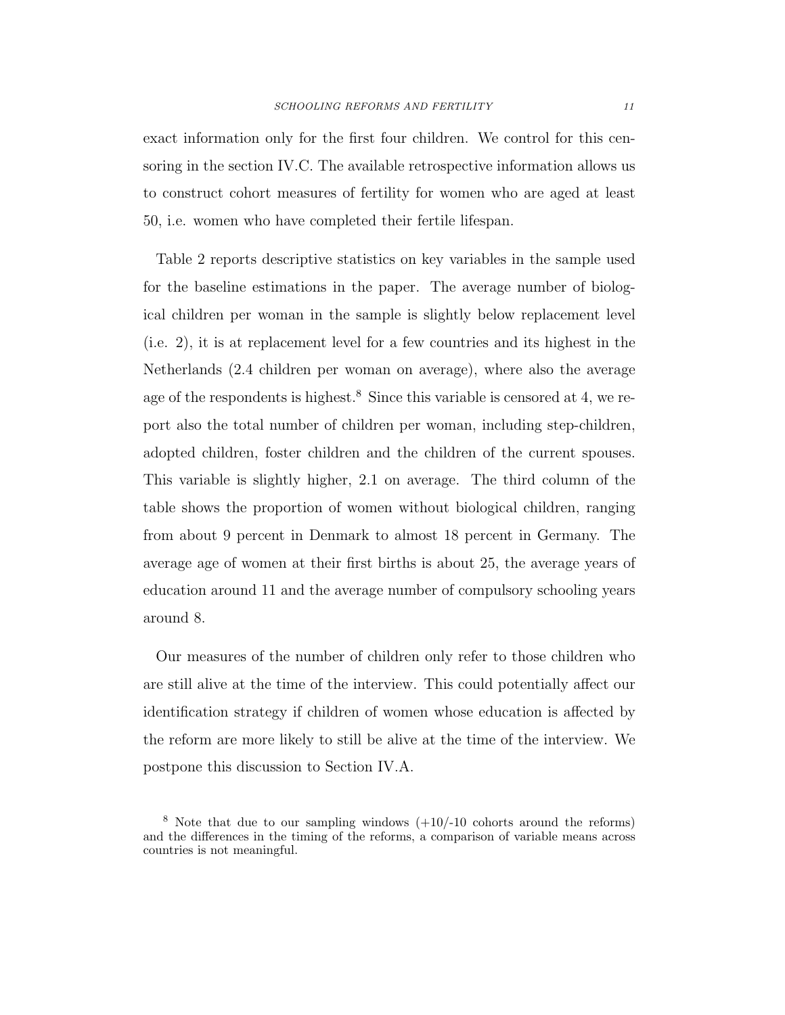<span id="page-11-0"></span>exact information only for the first four children. We control for this censoring in the section [IV.C.](#page-24-0) The available retrospective information allows us to construct cohort measures of fertility for women who are aged at least 50, i.e. women who have completed their fertile lifespan.

Table [2](#page-11-0) reports descriptive statistics on key variables in the sample used for the baseline estimations in the paper. The average number of biological children per woman in the sample is slightly below replacement level (i.e. 2), it is at replacement level for a few countries and its highest in the Netherlands (2.4 children per woman on average), where also the average age of the respondents is highest.<sup>[8](#page-10-0)</sup> Since this variable is censored at 4, we report also the total number of children per woman, including step-children, adopted children, foster children and the children of the current spouses. This variable is slightly higher, 2.1 on average. The third column of the table shows the proportion of women without biological children, ranging from about 9 percent in Denmark to almost 18 percent in Germany. The average age of women at their first births is about 25, the average years of education around 11 and the average number of compulsory schooling years around 8.

Our measures of the number of children only refer to those children who are still alive at the time of the interview. This could potentially affect our identification strategy if children of women whose education is affected by the reform are more likely to still be alive at the time of the interview. We postpone this discussion to Section [IV.A.](#page-20-0)

<sup>&</sup>lt;sup>8</sup> Note that due to our sampling windows  $(+10/-10)$  cohorts around the reforms) and the differences in the timing of the reforms, a comparison of variable means across countries is not meaningful.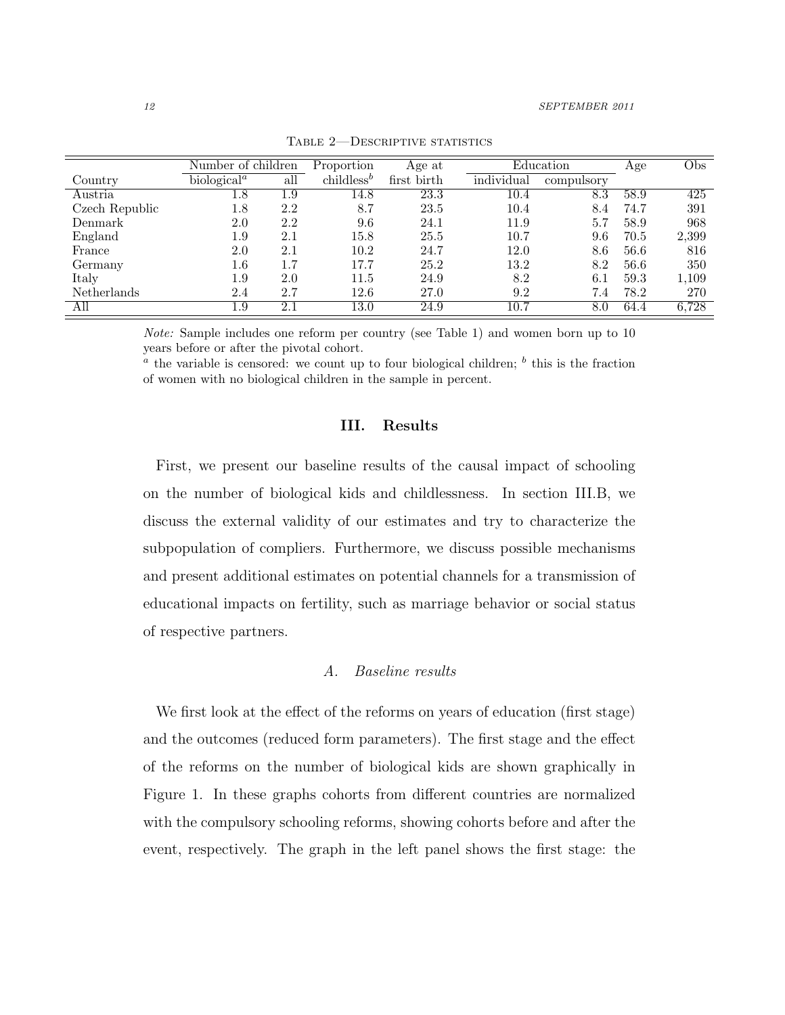|                    | Number of children                   |     | Proportion             | Age at      |            | Education  | Age  | Obs   |
|--------------------|--------------------------------------|-----|------------------------|-------------|------------|------------|------|-------|
| Country            | biological <sup><math>a</math></sup> | all | childless <sup>b</sup> | first birth | individual | compulsory |      |       |
| Austria            | $1.8\,$                              | 1.9 | 14.8                   | 23.3        | 10.4       | $8.3\,$    | 58.9 | 425   |
| Czech Republic     | $1.8\,$                              | 2.2 | 8.7                    | 23.5        | 10.4       | 8.4        | 74.7 | 391   |
| Denmark            | 2.0                                  | 2.2 | 9.6                    | 24.1        | 11.9       | 5.7        | 58.9 | 968   |
| England            | $1.9\,$                              | 2.1 | 15.8                   | 25.5        | 10.7       | 9.6        | 70.5 | 2,399 |
| France             | 2.0                                  | 2.1 | 10.2                   | 24.7        | 12.0       | 8.6        | 56.6 | 816   |
| Germany            | $1.6\,$                              | 1.7 | 17.7                   | 25.2        | 13.2       | 8.2        | 56.6 | 350   |
| Italy              | $1.9\,$                              | 2.0 | 11.5                   | 24.9        | 8.2        | 6.1        | 59.3 | 1,109 |
| <b>Netherlands</b> | 2.4                                  | 2.7 | 12.6                   | 27.0        | 9.2        | 7.4        | 78.2 | 270   |
| All                | 1.9                                  | 2.1 | 13.0                   | 24.9        | 10.7       | 8.0        | 64.4 | 6,728 |

TABLE 2-DESCRIPTIVE STATISTICS

Note: Sample includes one reform per country (see Table [1\)](#page-8-0) and women born up to 10 years before or after the pivotal cohort.

<span id="page-12-0"></span> $a<sup>a</sup>$  the variable is censored: we count up to four biological children;  $b<sup>b</sup>$  this is the fraction of women with no biological children in the sample in percent.

#### III. Results

First, we present our baseline results of the causal impact of schooling on the number of biological kids and childlessness. In section [III.B,](#page-14-0) we discuss the external validity of our estimates and try to characterize the subpopulation of compliers. Furthermore, we discuss possible mechanisms and present additional estimates on potential channels for a transmission of educational impacts on fertility, such as marriage behavior or social status of respective partners.

#### A. Baseline results

<span id="page-12-2"></span><span id="page-12-1"></span>We first look at the effect of the reforms on years of education (first stage) and the outcomes (reduced form parameters). The first stage and the effect of the reforms on the number of biological kids are shown graphically in Figure [1.](#page-12-0) In these graphs cohorts from different countries are normalized with the compulsory schooling reforms, showing cohorts before and after the event, respectively. The graph in the left panel shows the first stage: the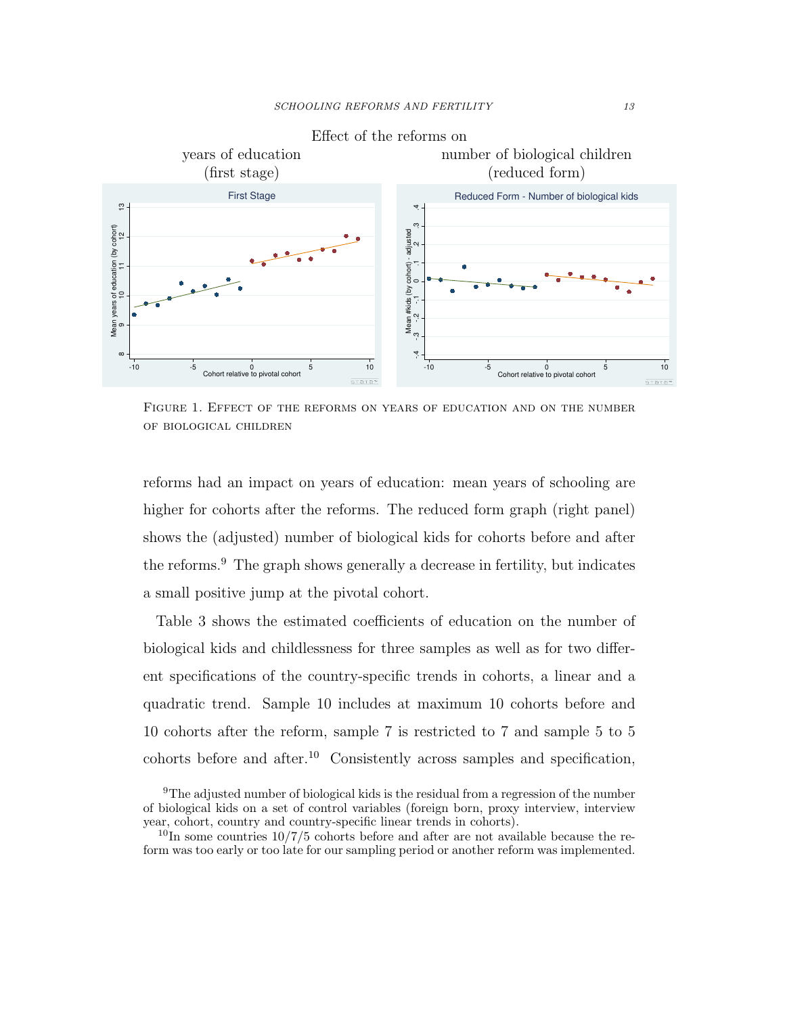

Figure 1. Effect of the reforms on years of education and on the number of biological children

reforms had an impact on years of education: mean years of schooling are higher for cohorts after the reforms. The reduced form graph (right panel) shows the (adjusted) number of biological kids for cohorts before and after the reforms.[9](#page-12-1) The graph shows generally a decrease in fertility, but indicates a small positive jump at the pivotal cohort.

Table [3](#page-14-1) shows the estimated coefficients of education on the number of biological kids and childlessness for three samples as well as for two different specifications of the country-specific trends in cohorts, a linear and a quadratic trend. Sample 10 includes at maximum 10 cohorts before and 10 cohorts after the reform, sample 7 is restricted to 7 and sample 5 to 5 cohorts before and after.[10](#page-12-2) Consistently across samples and specification,

<sup>9</sup>The adjusted number of biological kids is the residual from a regression of the number of biological kids on a set of control variables (foreign born, proxy interview, interview year, cohort, country and country-specific linear trends in cohorts).

 $10\text{In}$  some countries  $10/7/5$  cohorts before and after are not available because the reform was too early or too late for our sampling period or another reform was implemented.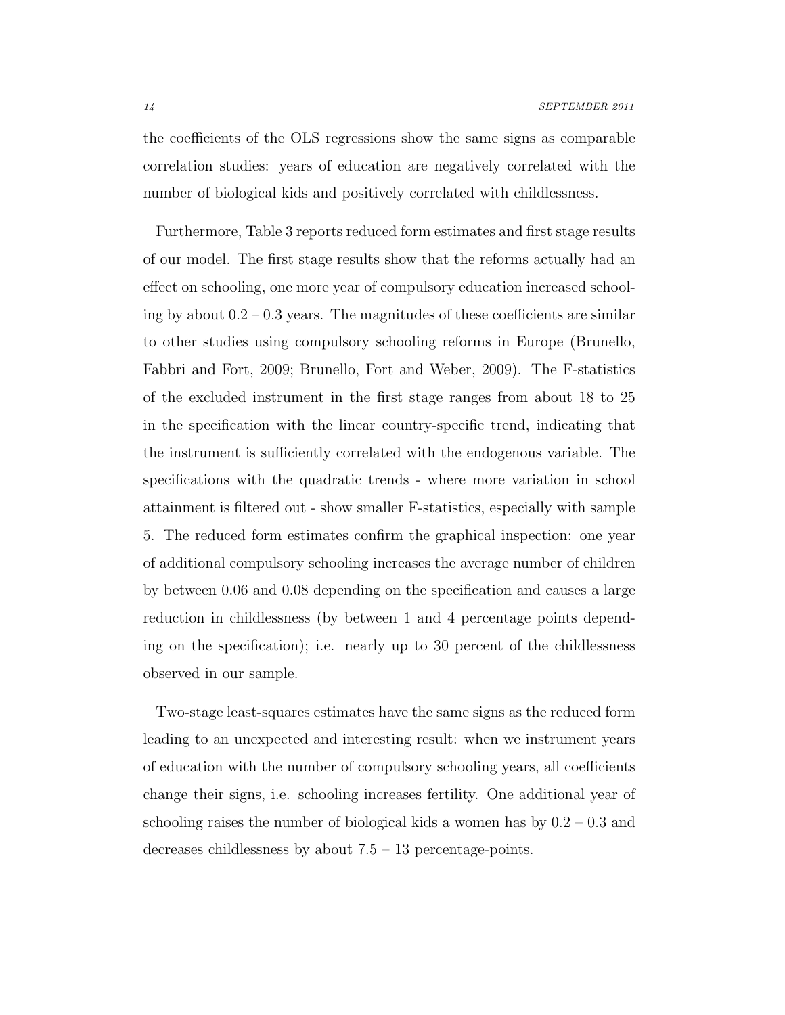<span id="page-14-1"></span>the coefficients of the OLS regressions show the same signs as comparable correlation studies: years of education are negatively correlated with the number of biological kids and positively correlated with childlessness.

Furthermore, Table [3](#page-14-1) reports reduced form estimates and first stage results of our model. The first stage results show that the reforms actually had an effect on schooling, one more year of compulsory education increased schooling by about  $0.2 - 0.3$  years. The magnitudes of these coefficients are similar to other studies using compulsory schooling reforms in Europe [\(Brunello,](#page-33-4) [Fabbri and Fort, 2009;](#page-33-4) [Brunello, Fort and Weber, 2009\)](#page-33-3). The F-statistics of the excluded instrument in the first stage ranges from about 18 to 25 in the specification with the linear country-specific trend, indicating that the instrument is sufficiently correlated with the endogenous variable. The specifications with the quadratic trends - where more variation in school attainment is filtered out - show smaller F-statistics, especially with sample 5. The reduced form estimates confirm the graphical inspection: one year of additional compulsory schooling increases the average number of children by between 0.06 and 0.08 depending on the specification and causes a large reduction in childlessness (by between 1 and 4 percentage points depending on the specification); i.e. nearly up to 30 percent of the childlessness observed in our sample.

<span id="page-14-0"></span>Two-stage least-squares estimates have the same signs as the reduced form leading to an unexpected and interesting result: when we instrument years of education with the number of compulsory schooling years, all coefficients change their signs, i.e. schooling increases fertility. One additional year of schooling raises the number of biological kids a women has by  $0.2 - 0.3$  and decreases childlessness by about  $7.5 - 13$  percentage-points.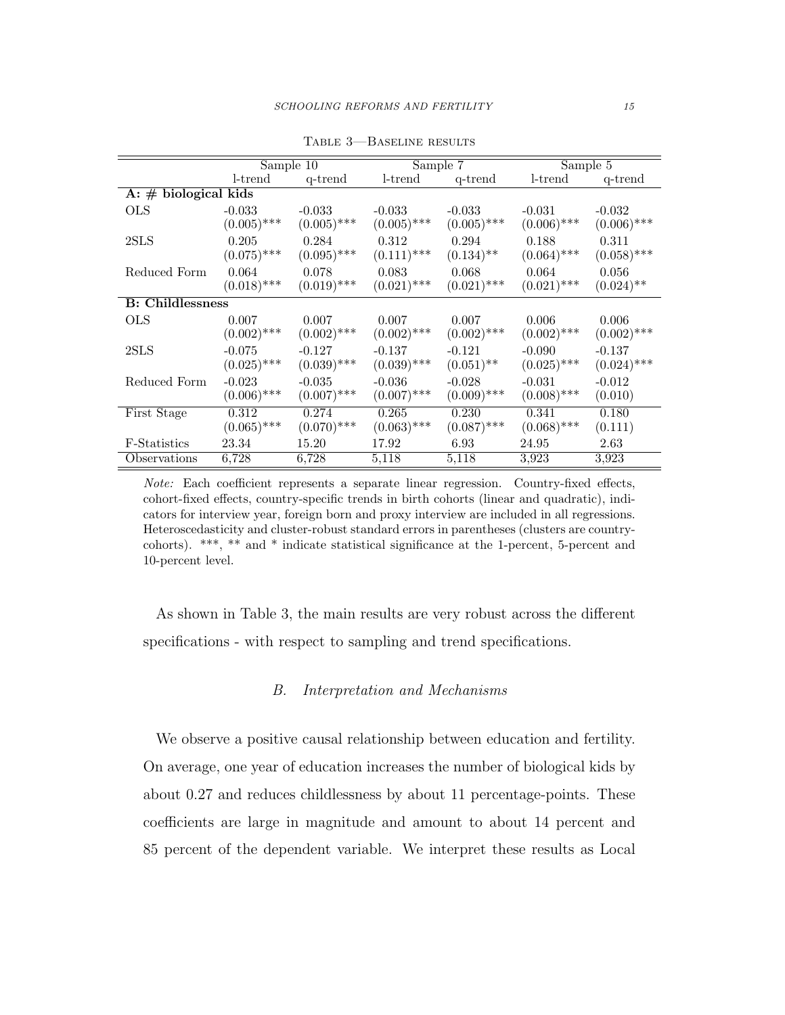|                          |               | Sample 10     |               | Sample 7      | Sample 5      |               |
|--------------------------|---------------|---------------|---------------|---------------|---------------|---------------|
|                          | $l$ -trend    | q-trend       | $l$ -trend    | q-trend       | $l$ -trend    | q-trend       |
| A: $\#$ biological kids  |               |               |               |               |               |               |
| <b>OLS</b>               | $-0.033$      | $-0.033$      | $-0.033$      | $-0.033$      | $-0.031$      | $-0.032$      |
|                          | $(0.005)$ *** | $(0.005)$ *** | $(0.005)$ *** | $(0.005)$ *** | $(0.006)$ *** | $(0.006)$ *** |
| 2SLS                     | 0.205         | 0.284         | 0.312         | 0.294         | 0.188         | 0.311         |
|                          | $(0.075)$ *** | $(0.095)$ *** | $(0.111)$ *** | $(0.134)$ **  | $(0.064)$ *** | $(0.058)$ *** |
| Reduced Form             | 0.064         | 0.078         | 0.083         | 0.068         | 0.064         | 0.056         |
|                          | $(0.018)$ *** | $(0.019)$ *** | $(0.021)$ *** | $(0.021)$ *** | $(0.021)$ *** | $(0.024)$ **  |
| <b>B</b> : Childlessness |               |               |               |               |               |               |
| <b>OLS</b>               | 0.007         | 0.007         | 0.007         | 0.007         | 0.006         | 0.006         |
|                          | $(0.002)$ *** | $(0.002)$ *** | $(0.002)$ *** | $(0.002)$ *** | $(0.002)$ *** | $(0.002)$ *** |
| 2SLS                     | $-0.075$      | $-0.127$      | $-0.137$      | $-0.121$      | $-0.090$      | $-0.137$      |
|                          | $(0.025)$ *** | $(0.039)$ *** | $(0.039)$ *** | $(0.051)$ **  | $(0.025)$ *** | $(0.024)$ *** |
| Reduced Form             | $-0.023$      | $-0.035$      | $-0.036$      | $-0.028$      | $-0.031$      | $-0.012$      |
|                          | $(0.006)$ *** | $(0.007)$ *** | $(0.007)$ *** | $(0.009)$ *** | $(0.008)$ *** | (0.010)       |
| First Stage              | 0.312         | 0.274         | 0.265         | 0.230         | 0.341         | 0.180         |
|                          | $(0.065)$ *** | $(0.070)$ *** | $(0.063)$ *** | $(0.087)$ *** | $(0.068)$ *** | (0.111)       |
| <b>F</b> -Statistics     | 23.34         | 15.20         | 17.92         | 6.93          | 24.95         | 2.63          |
| Observations             | 6,728         | 6,728         | 5,118         | 5,118         | 3.923         | 3.923         |

Table 3—Baseline results

Note: Each coefficient represents a separate linear regression. Country-fixed effects, cohort-fixed effects, country-specific trends in birth cohorts (linear and quadratic), indicators for interview year, foreign born and proxy interview are included in all regressions. Heteroscedasticity and cluster-robust standard errors in parentheses (clusters are countrycohorts). \*\*\*, \*\* and \* indicate statistical significance at the 1-percent, 5-percent and 10-percent level.

As shown in Table [3,](#page-14-1) the main results are very robust across the different specifications - with respect to sampling and trend specifications.

### <span id="page-15-0"></span>B. Interpretation and Mechanisms

<span id="page-15-1"></span>We observe a positive causal relationship between education and fertility. On average, one year of education increases the number of biological kids by about 0.27 and reduces childlessness by about 11 percentage-points. These coefficients are large in magnitude and amount to about 14 percent and 85 percent of the dependent variable. We interpret these results as Local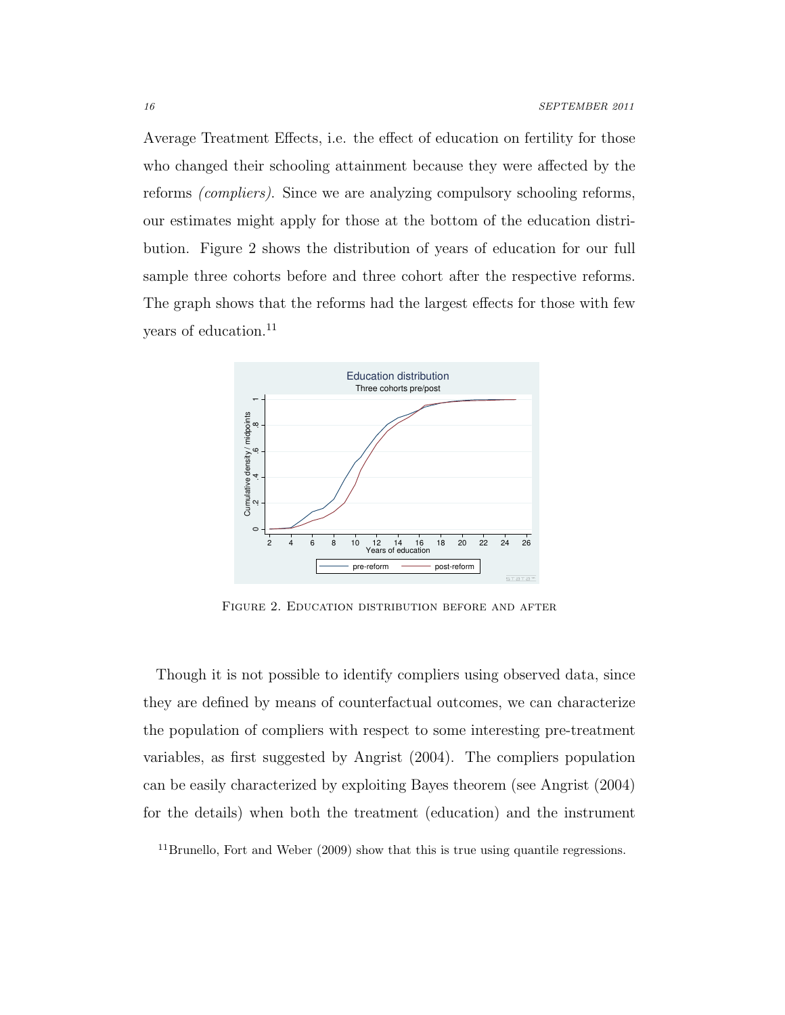Average Treatment Effects, i.e. the effect of education on fertility for those who changed their schooling attainment because they were affected by the reforms (compliers). Since we are analyzing compulsory schooling reforms, our estimates might apply for those at the bottom of the education distribution. Figure [2](#page-15-0) shows the distribution of years of education for our full sample three cohorts before and three cohort after the respective reforms. The graph shows that the reforms had the largest effects for those with few years of education.<sup>[11](#page-15-1)</sup>



Figure 2. Education distribution before and after

Though it is not possible to identify compliers using observed data, since they are defined by means of counterfactual outcomes, we can characterize the population of compliers with respect to some interesting pre-treatment variables, as first suggested by [Angrist \(2004\)](#page-32-7). The compliers population can be easily characterized by exploiting Bayes theorem (see [Angrist \(2004\)](#page-32-7) for the details) when both the treatment (education) and the instrument

<span id="page-16-0"></span><sup>11</sup>[Brunello, Fort and Weber \(2009\)](#page-33-3) show that this is true using quantile regressions.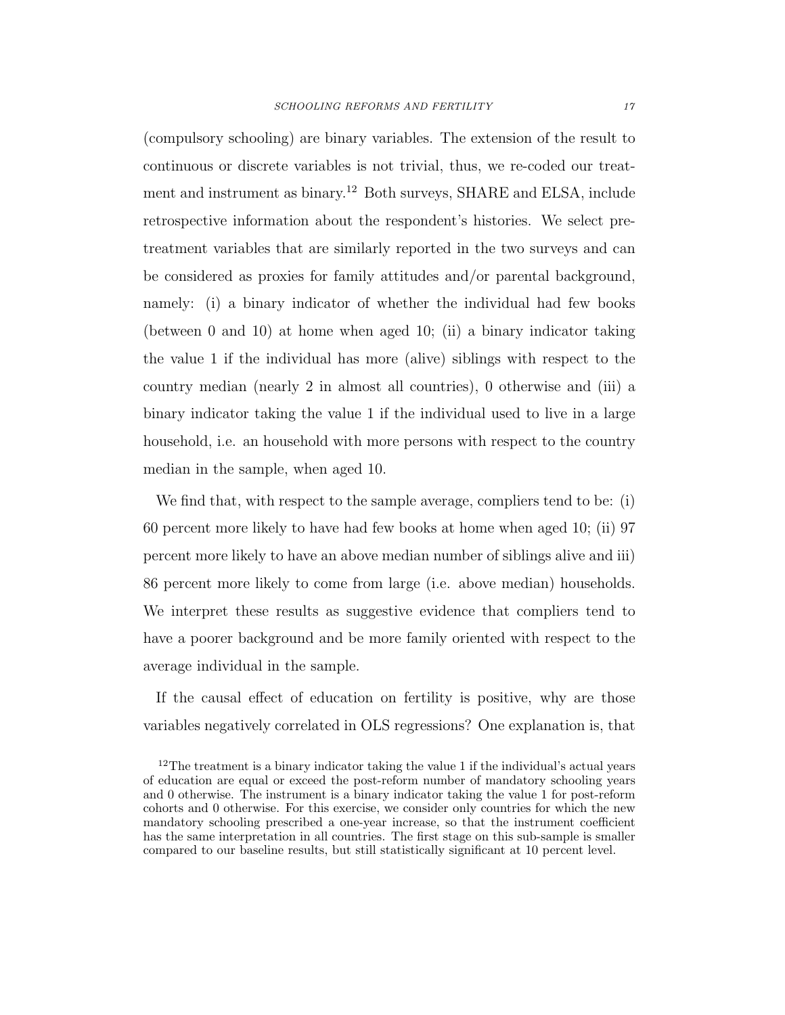(compulsory schooling) are binary variables. The extension of the result to continuous or discrete variables is not trivial, thus, we re-coded our treatment and instrument as binary.[12](#page-16-0) Both surveys, SHARE and ELSA, include retrospective information about the respondent's histories. We select pretreatment variables that are similarly reported in the two surveys and can be considered as proxies for family attitudes and/or parental background, namely: (i) a binary indicator of whether the individual had few books (between 0 and 10) at home when aged 10; (ii) a binary indicator taking the value 1 if the individual has more (alive) siblings with respect to the country median (nearly 2 in almost all countries), 0 otherwise and (iii) a binary indicator taking the value 1 if the individual used to live in a large household, i.e. an household with more persons with respect to the country median in the sample, when aged 10.

We find that, with respect to the sample average, compliers tend to be: (i) 60 percent more likely to have had few books at home when aged 10; (ii) 97 percent more likely to have an above median number of siblings alive and iii) 86 percent more likely to come from large (i.e. above median) households. We interpret these results as suggestive evidence that compliers tend to have a poorer background and be more family oriented with respect to the average individual in the sample.

If the causal effect of education on fertility is positive, why are those variables negatively correlated in OLS regressions? One explanation is, that

<span id="page-17-0"></span><sup>&</sup>lt;sup>12</sup>The treatment is a binary indicator taking the value 1 if the individual's actual years of education are equal or exceed the post-reform number of mandatory schooling years and 0 otherwise. The instrument is a binary indicator taking the value 1 for post-reform cohorts and 0 otherwise. For this exercise, we consider only countries for which the new mandatory schooling prescribed a one-year increase, so that the instrument coefficient has the same interpretation in all countries. The first stage on this sub-sample is smaller compared to our baseline results, but still statistically significant at 10 percent level.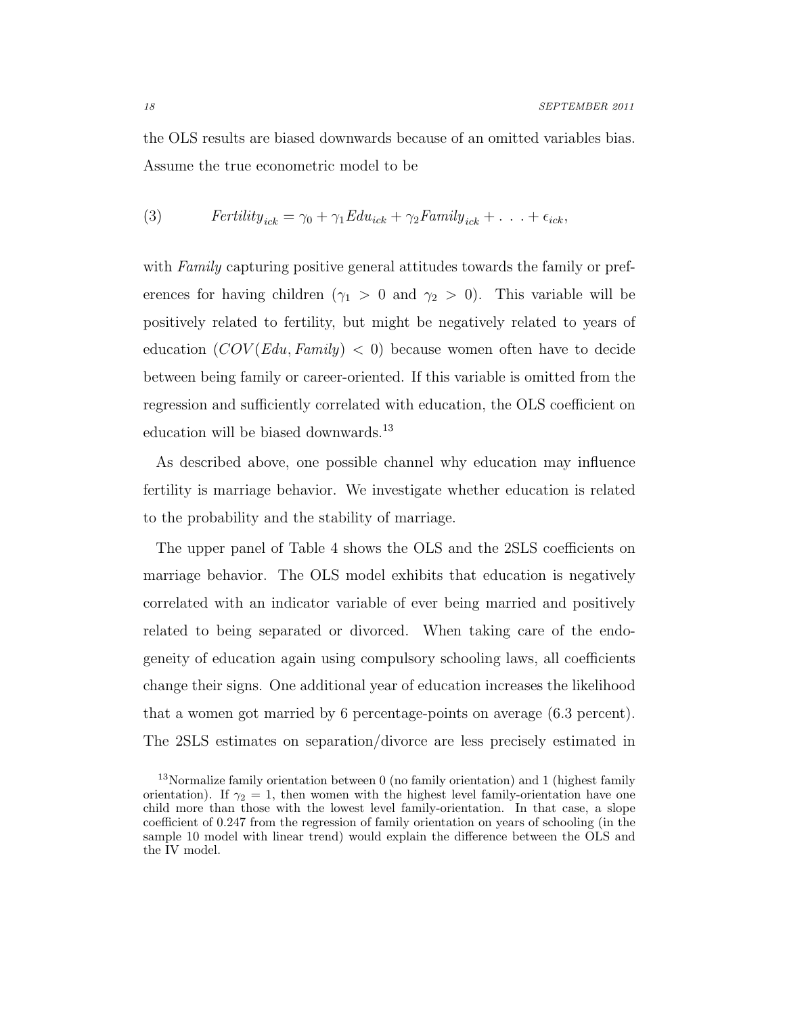<span id="page-18-0"></span>the OLS results are biased downwards because of an omitted variables bias. Assume the true econometric model to be

(3) 
$$
Fertility_{ick} = \gamma_0 + \gamma_1 Edu_{ick} + \gamma_2 Family_{ick} + \dots + \epsilon_{ick},
$$

with Family capturing positive general attitudes towards the family or preferences for having children ( $\gamma_1 > 0$  and  $\gamma_2 > 0$ ). This variable will be positively related to fertility, but might be negatively related to years of education  $(COV(Edu, Family) < 0)$  because women often have to decide between being family or career-oriented. If this variable is omitted from the regression and sufficiently correlated with education, the OLS coefficient on education will be biased downwards.<sup>[13](#page-17-0)</sup>

As described above, one possible channel why education may influence fertility is marriage behavior. We investigate whether education is related to the probability and the stability of marriage.

The upper panel of Table [4](#page-18-0) shows the OLS and the 2SLS coefficients on marriage behavior. The OLS model exhibits that education is negatively correlated with an indicator variable of ever being married and positively related to being separated or divorced. When taking care of the endogeneity of education again using compulsory schooling laws, all coefficients change their signs. One additional year of education increases the likelihood that a women got married by 6 percentage-points on average (6.3 percent). The 2SLS estimates on separation/divorce are less precisely estimated in

<sup>&</sup>lt;sup>13</sup>Normalize family orientation between  $0$  (no family orientation) and 1 (highest family orientation). If  $\gamma_2 = 1$ , then women with the highest level family-orientation have one child more than those with the lowest level family-orientation. In that case, a slope coefficient of 0.247 from the regression of family orientation on years of schooling (in the sample 10 model with linear trend) would explain the difference between the OLS and the IV model.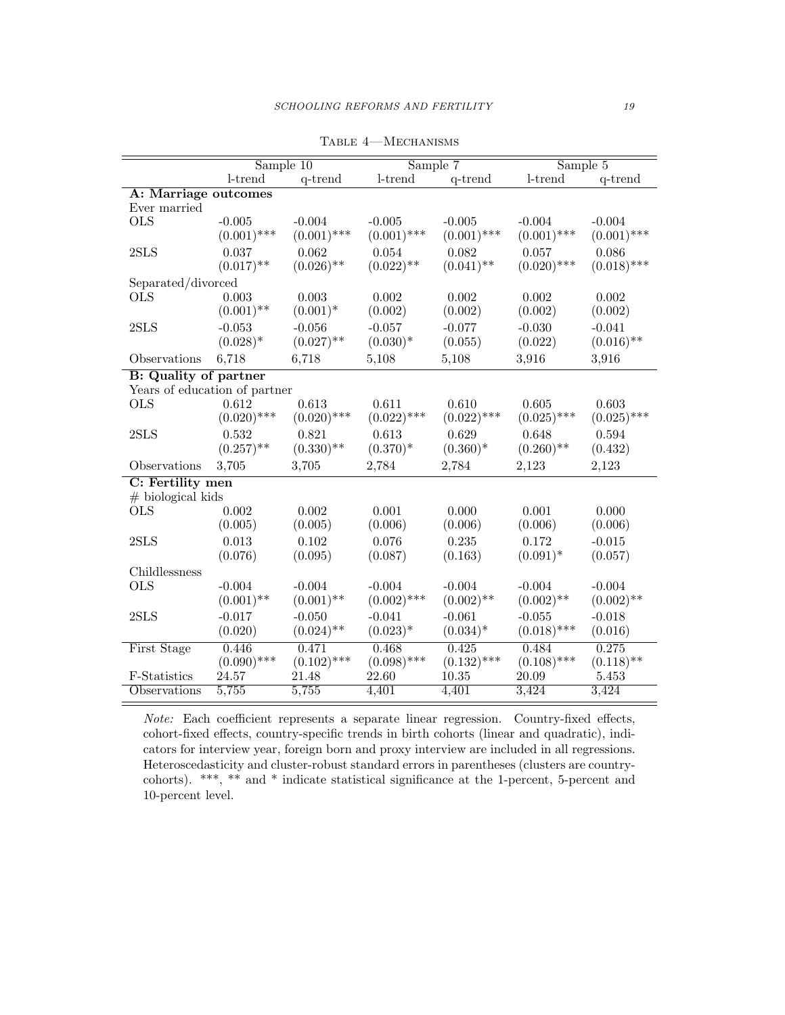|                               | Sample $10$   |               | Sample 7      |               | Sample 5      |               |
|-------------------------------|---------------|---------------|---------------|---------------|---------------|---------------|
|                               | l-trend       | q-trend       | l-trend       | q-trend       | l-trend       | q-trend       |
| A: Marriage outcomes          |               |               |               |               |               |               |
| Ever married                  |               |               |               |               |               |               |
| <b>OLS</b>                    | $-0.005$      | $-0.004$      | $-0.005$      | $-0.005$      | $-0.004$      | $-0.004$      |
|                               | $(0.001)$ *** | $(0.001)$ *** | $(0.001)$ *** | $(0.001)$ *** | $(0.001)$ *** | $(0.001)$ *** |
| $2{\rm SLS}$                  | 0.037         | 0.062         | 0.054         | 0.082         | 0.057         | 0.086         |
|                               | $(0.017)$ **  | $(0.026)$ **  | $(0.022)$ **  | $(0.041)$ **  | $(0.020)$ *** | $(0.018)$ *** |
| Separated/divorced            |               |               |               |               |               |               |
| <b>OLS</b>                    | 0.003         | 0.003         | 0.002         | 0.002         | 0.002         | 0.002         |
|                               | $(0.001)$ **  | $(0.001)^*$   | (0.002)       | (0.002)       | (0.002)       | (0.002)       |
| 2SLS                          | $-0.053$      | $-0.056$      | $-0.057$      | $-0.077$      | $-0.030$      | $-0.041$      |
|                               | $(0.028)^*$   | $(0.027)$ **  | $(0.030)*$    | (0.055)       | (0.022)       | $(0.016)$ **  |
| Observations                  | 6,718         | 6,718         | 5,108         | 5,108         | 3,916         | 3,916         |
| <b>B:</b> Quality of partner  |               |               |               |               |               |               |
| Years of education of partner |               |               |               |               |               |               |
| <b>OLS</b>                    | 0.612         | 0.613         | 0.611         | 0.610         | 0.605         | 0.603         |
|                               | $(0.020)$ *** | $(0.020)$ *** | $(0.022)$ *** | $(0.022)$ *** | $(0.025)$ *** | $(0.025)$ *** |
| 2SLS                          | 0.532         | 0.821         | 0.613         | 0.629         | 0.648         | 0.594         |
|                               | $(0.257)$ **  | $(0.330)$ **  | $(0.370)^*$   | $(0.360)*$    | $(0.260)$ **  | (0.432)       |
| Observations                  | 3,705         | 3,705         | 2,784         | 2,784         | 2,123         | 2,123         |
| C: Fertility men              |               |               |               |               |               |               |
| $#$ biological kids           |               |               |               |               |               |               |
| <b>OLS</b>                    | 0.002         | 0.002         | 0.001         | 0.000         | 0.001         | 0.000         |
|                               | (0.005)       | (0.005)       | (0.006)       | (0.006)       | (0.006)       | (0.006)       |
| 2SLS                          | 0.013         | 0.102         | 0.076         | 0.235         | 0.172         | $-0.015$      |
|                               | (0.076)       | (0.095)       | (0.087)       | (0.163)       | $(0.091)^*$   | (0.057)       |
| Childlessness                 |               |               |               |               |               |               |
| <b>OLS</b>                    | $-0.004$      | $-0.004$      | $-0.004$      | $-0.004$      | $-0.004$      | $-0.004$      |
|                               | $(0.001)$ **  | $(0.001)$ **  | $(0.002)$ *** | $(0.002)$ **  | $(0.002)$ **  | $(0.002)$ **  |
| 2SLS                          | $-0.017$      | $-0.050$      | $-0.041$      | $-0.061$      | $-0.055$      | $-0.018$      |
|                               | (0.020)       | $(0.024)$ **  | $(0.023)^*$   | $(0.034)^*$   | $(0.018)$ *** | (0.016)       |
| First Stage                   | 0.446         | 0.471         | 0.468         | 0.425         | 0.484         | 0.275         |
|                               | $(0.090)$ *** | $(0.102)$ *** | $(0.098)$ *** | $(0.132)$ *** | $(0.108)$ *** | $(0.118)$ **  |
| F-Statistics                  | 24.57         | 21.48         | 22.60         | 10.35         | 20.09         | 5.453         |
| Observations                  | 5,755         | 5,755         | 4,401         | 4,401         | 3,424         | 3,424         |

Table 4—Mechanisms

Note: Each coefficient represents a separate linear regression. Country-fixed effects, cohort-fixed effects, country-specific trends in birth cohorts (linear and quadratic), indicators for interview year, foreign born and proxy interview are included in all regressions. Heteroscedasticity and cluster-robust standard errors in parentheses (clusters are countrycohorts). \*\*\*, \*\* and \* indicate statistical significance at the 1-percent, 5-percent and 10-percent level.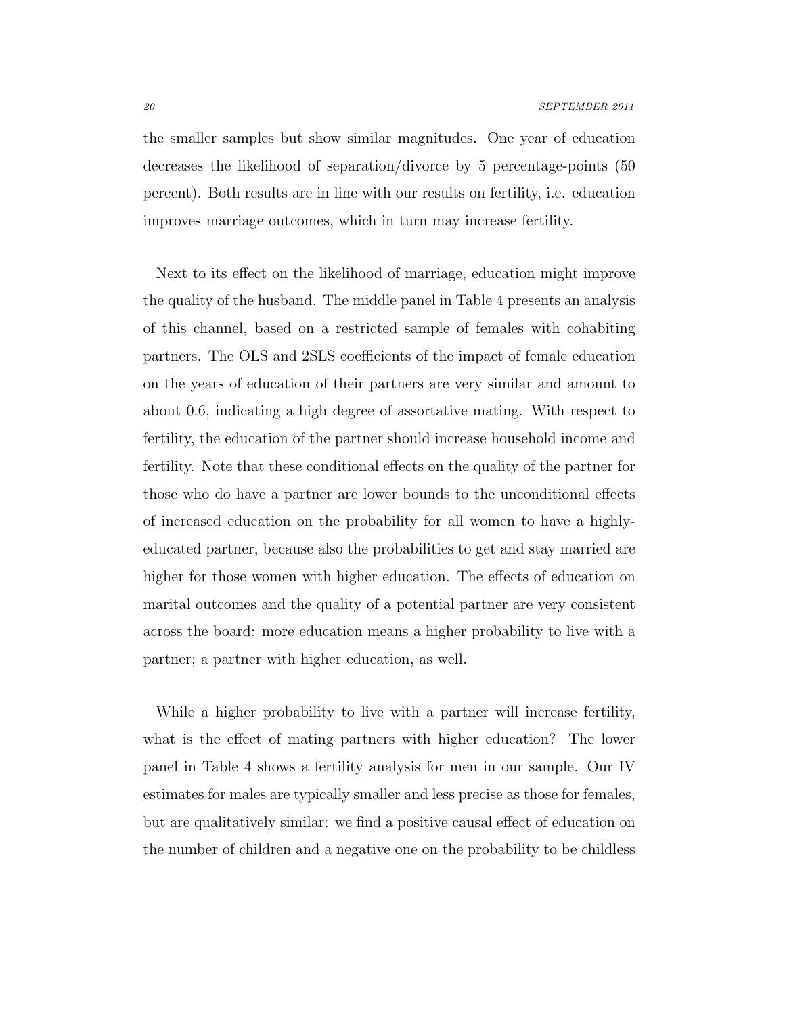the smaller samples but show similar magnitudes. One year of education decreases the likelihood of separation/divorce by 5 percentage-points (50 percent). Both results are in line with our results on fertility, i.e. education improves marriage outcomes, which in turn may increase fertility.

<span id="page-20-0"></span>Next to its effect on the likelihood of marriage, education might improve the quality of the husband. The middle panel in Table [4](#page-18-0) presents an analysis of this channel, based on a restricted sample of females with cohabiting partners. The OLS and 2SLS coefficients of the impact of female education on the years of education of their partners are very similar and amount to about 0.6, indicating a high degree of assortative mating. With respect to fertility, the education of the partner should increase household income and fertility. Note that these conditional effects on the quality of the partner for those who do have a partner are lower bounds to the unconditional effects of increased education on the probability for all women to have a highlyeducated partner, because also the probabilities to get and stay married are higher for those women with higher education. The effects of education on marital outcomes and the quality of a potential partner are very consistent across the board: more education means a higher probability to live with a partner; a partner with higher education, as well.

<span id="page-20-1"></span>While a higher probability to live with a partner will increase fertility, what is the effect of mating partners with higher education? The lower panel in Table [4](#page-18-0) shows a fertility analysis for men in our sample. Our IV estimates for males are typically smaller and less precise as those for females, but are qualitatively similar: we find a positive causal effect of education on the number of children and a negative one on the probability to be childless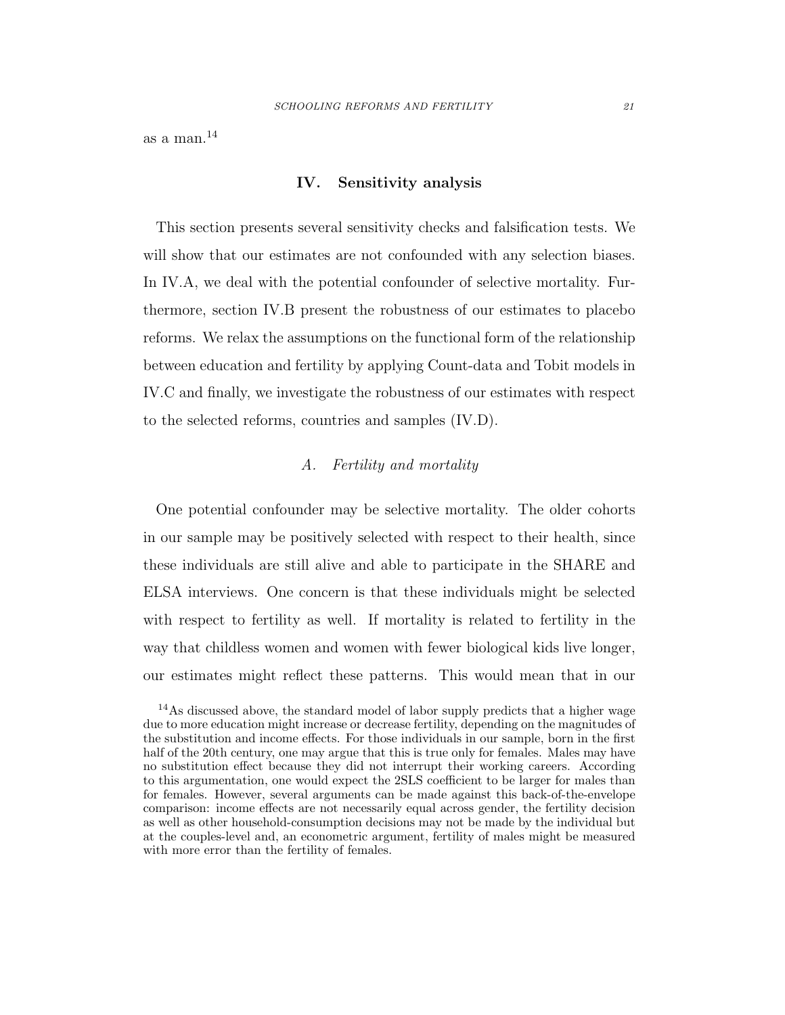as a man.[14](#page-20-1)

#### IV. Sensitivity analysis

This section presents several sensitivity checks and falsification tests. We will show that our estimates are not confounded with any selection biases. In [IV.A,](#page-20-0) we deal with the potential confounder of selective mortality. Furthermore, section [IV.B](#page-23-0) present the robustness of our estimates to placebo reforms. We relax the assumptions on the functional form of the relationship between education and fertility by applying Count-data and Tobit models in [IV.C](#page-24-0) and finally, we investigate the robustness of our estimates with respect to the selected reforms, countries and samples [\(IV.D\)](#page-29-0).

# A. Fertility and mortality

One potential confounder may be selective mortality. The older cohorts in our sample may be positively selected with respect to their health, since these individuals are still alive and able to participate in the SHARE and ELSA interviews. One concern is that these individuals might be selected with respect to fertility as well. If mortality is related to fertility in the way that childless women and women with fewer biological kids live longer, our estimates might reflect these patterns. This would mean that in our

<span id="page-21-0"></span><sup>14</sup>As discussed above, the standard model of labor supply predicts that a higher wage due to more education might increase or decrease fertility, depending on the magnitudes of the substitution and income effects. For those individuals in our sample, born in the first half of the 20th century, one may argue that this is true only for females. Males may have no substitution effect because they did not interrupt their working careers. According to this argumentation, one would expect the 2SLS coefficient to be larger for males than for females. However, several arguments can be made against this back-of-the-envelope comparison: income effects are not necessarily equal across gender, the fertility decision as well as other household-consumption decisions may not be made by the individual but at the couples-level and, an econometric argument, fertility of males might be measured with more error than the fertility of females.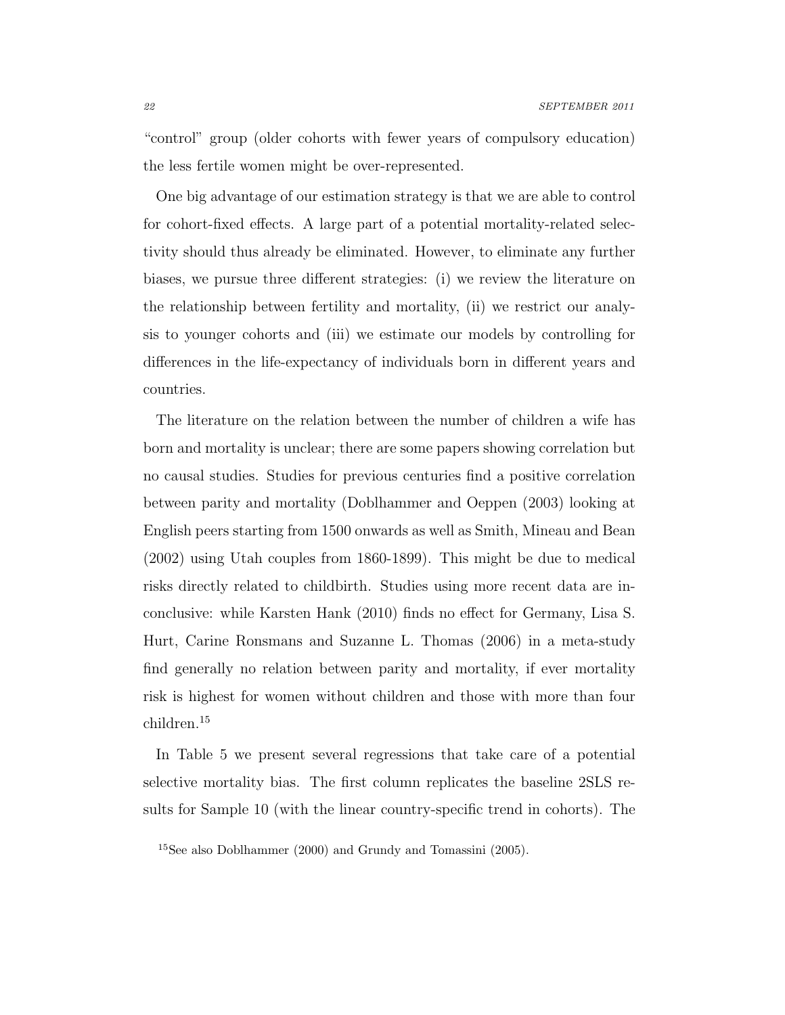<span id="page-22-0"></span>"control" group (older cohorts with fewer years of compulsory education) the less fertile women might be over-represented.

One big advantage of our estimation strategy is that we are able to control for cohort-fixed effects. A large part of a potential mortality-related selectivity should thus already be eliminated. However, to eliminate any further biases, we pursue three different strategies: (i) we review the literature on the relationship between fertility and mortality, (ii) we restrict our analysis to younger cohorts and (iii) we estimate our models by controlling for differences in the life-expectancy of individuals born in different years and countries.

The literature on the relation between the number of children a wife has born and mortality is unclear; there are some papers showing correlation but no causal studies. Studies for previous centuries find a positive correlation between parity and mortality [\(Doblhammer and Oeppen \(2003\)](#page-33-6) looking at English peers starting from 1500 onwards as well as [Smith, Mineau and Bean](#page-36-5) [\(2002\)](#page-36-5) using Utah couples from 1860-1899). This might be due to medical risks directly related to childbirth. Studies using more recent data are inconclusive: while [Karsten Hank \(2010\)](#page-34-2) finds no effect for Germany, [Lisa S.](#page-34-3) [Hurt, Carine Ronsmans and Suzanne L. Thomas \(2006\)](#page-34-3) in a meta-study find generally no relation between parity and mortality, if ever mortality risk is highest for women without children and those with more than four children.[15](#page-21-0)

<span id="page-22-1"></span>In Table [5](#page-22-0) we present several regressions that take care of a potential selective mortality bias. The first column replicates the baseline 2SLS results for Sample 10 (with the linear country-specific trend in cohorts). The

<sup>15</sup>See also [Doblhammer \(2000\)](#page-33-7) and [Grundy and Tomassini \(2005\)](#page-34-4).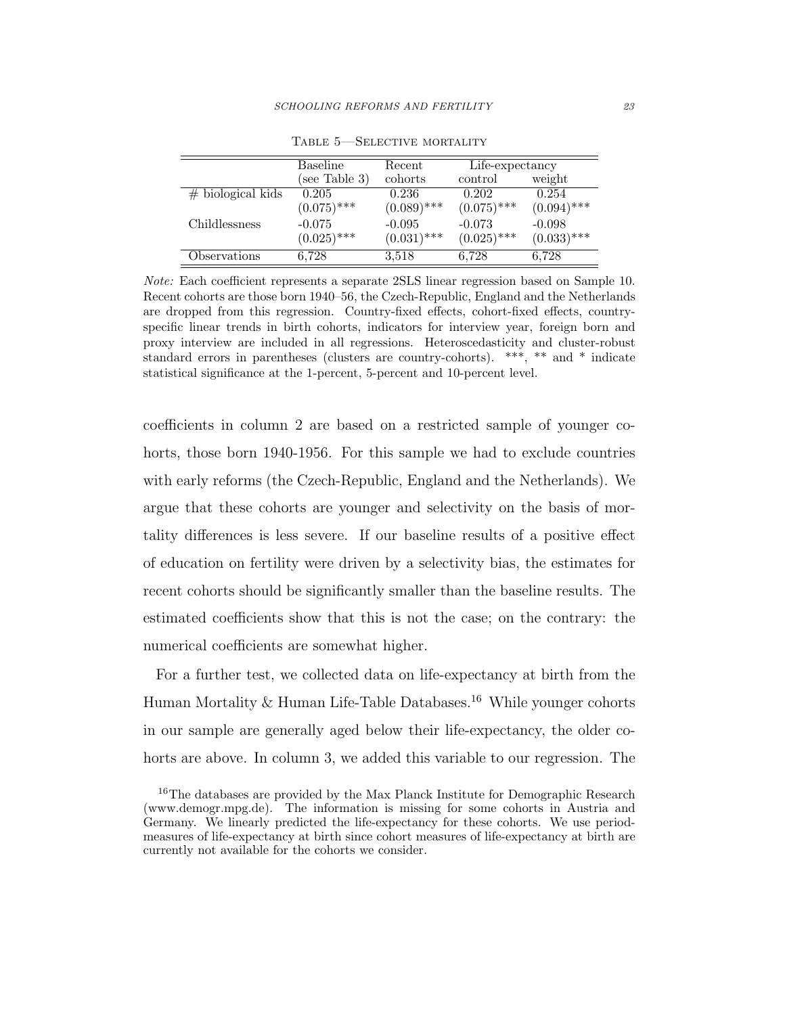|                     | Baseline      | Recent        | $\overline{\text{Life-expectancy}}$ |               |
|---------------------|---------------|---------------|-------------------------------------|---------------|
|                     | (see Table 3) | cohorts       | control                             | weight        |
| $#$ biological kids | 0.205         | 0.236         | 0.202                               | 0.254         |
|                     | $(0.075)$ *** | $(0.089)$ *** | $(0.075)$ ***                       | $(0.094)$ *** |
| Childlessness       | $-0.075$      | $-0.095$      | $-0.073$                            | $-0.098$      |
|                     | $(0.025)$ *** | $(0.031)$ *** | $(0.025)$ ***                       | $(0.033)$ *** |
| Observations        | 6,728         | 3.518         | 6,728                               | 6,728         |

Table 5—Selective mortality

Note: Each coefficient represents a separate 2SLS linear regression based on Sample 10. Recent cohorts are those born 1940–56, the Czech-Republic, England and the Netherlands are dropped from this regression. Country-fixed effects, cohort-fixed effects, countryspecific linear trends in birth cohorts, indicators for interview year, foreign born and proxy interview are included in all regressions. Heteroscedasticity and cluster-robust standard errors in parentheses (clusters are country-cohorts). \*\*\*, \*\* and \* indicate statistical significance at the 1-percent, 5-percent and 10-percent level.

coefficients in column 2 are based on a restricted sample of younger cohorts, those born 1940-1956. For this sample we had to exclude countries with early reforms (the Czech-Republic, England and the Netherlands). We argue that these cohorts are younger and selectivity on the basis of mortality differences is less severe. If our baseline results of a positive effect of education on fertility were driven by a selectivity bias, the estimates for recent cohorts should be significantly smaller than the baseline results. The estimated coefficients show that this is not the case; on the contrary: the numerical coefficients are somewhat higher.

For a further test, we collected data on life-expectancy at birth from the Human Mortality  $&$  Human Life-Table Databases.<sup>[16](#page-22-1)</sup> While younger cohorts in our sample are generally aged below their life-expectancy, the older cohorts are above. In column 3, we added this variable to our regression. The

<span id="page-23-0"></span><sup>&</sup>lt;sup>16</sup>The databases are provided by the Max Planck Institute for Demographic Research (www.demogr.mpg.de). The information is missing for some cohorts in Austria and Germany. We linearly predicted the life-expectancy for these cohorts. We use periodmeasures of life-expectancy at birth since cohort measures of life-expectancy at birth are currently not available for the cohorts we consider.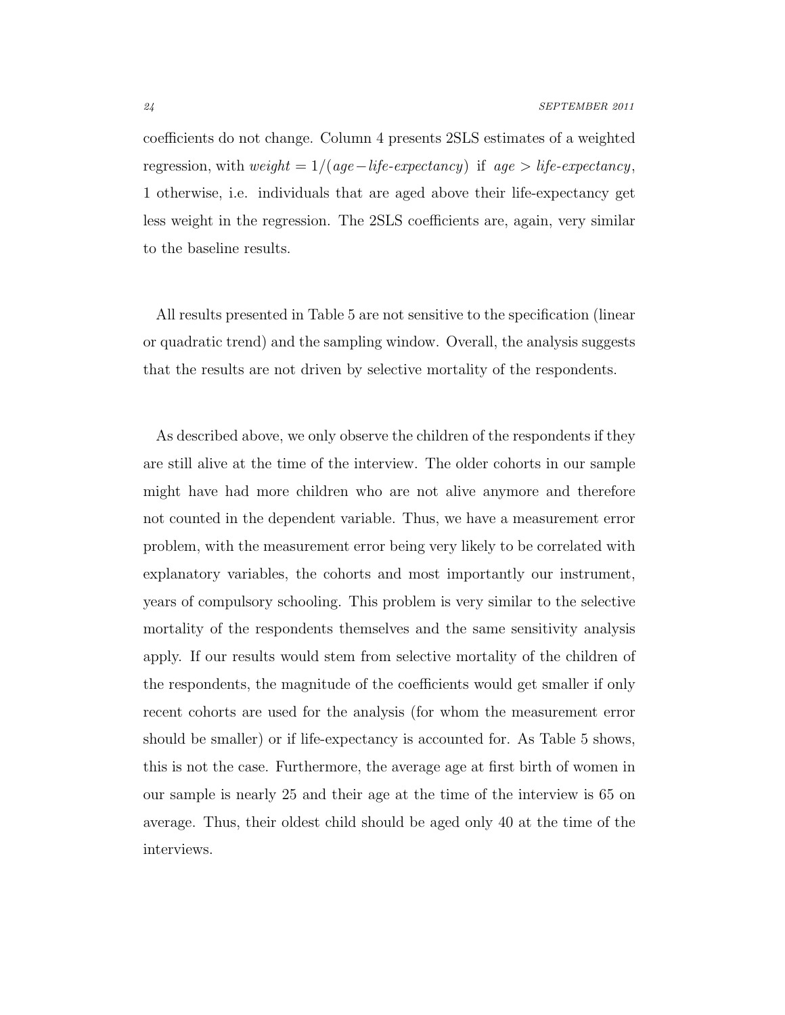coefficients do not change. Column 4 presents 2SLS estimates of a weighted regression, with  $weight = 1/(age - life - expectancy)$  if  $age > life -expectancy$ , 1 otherwise, i.e. individuals that are aged above their life-expectancy get less weight in the regression. The 2SLS coefficients are, again, very similar to the baseline results.

All results presented in Table [5](#page-22-0) are not sensitive to the specification (linear or quadratic trend) and the sampling window. Overall, the analysis suggests that the results are not driven by selective mortality of the respondents.

<span id="page-24-1"></span><span id="page-24-0"></span>As described above, we only observe the children of the respondents if they are still alive at the time of the interview. The older cohorts in our sample might have had more children who are not alive anymore and therefore not counted in the dependent variable. Thus, we have a measurement error problem, with the measurement error being very likely to be correlated with explanatory variables, the cohorts and most importantly our instrument, years of compulsory schooling. This problem is very similar to the selective mortality of the respondents themselves and the same sensitivity analysis apply. If our results would stem from selective mortality of the children of the respondents, the magnitude of the coefficients would get smaller if only recent cohorts are used for the analysis (for whom the measurement error should be smaller) or if life-expectancy is accounted for. As Table [5](#page-22-0) shows, this is not the case. Furthermore, the average age at first birth of women in our sample is nearly 25 and their age at the time of the interview is 65 on average. Thus, their oldest child should be aged only 40 at the time of the interviews.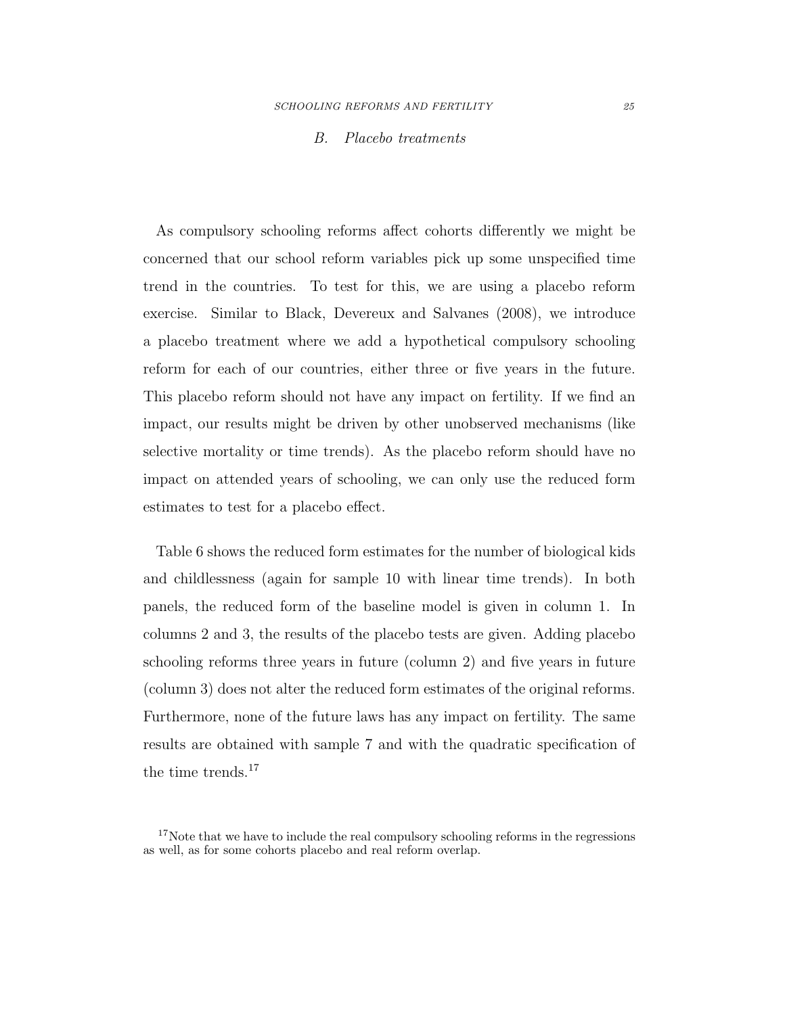#### <span id="page-25-0"></span>B. Placebo treatments

As compulsory schooling reforms affect cohorts differently we might be concerned that our school reform variables pick up some unspecified time trend in the countries. To test for this, we are using a placebo reform exercise. Similar to [Black, Devereux and Salvanes \(2008\)](#page-32-5), we introduce a placebo treatment where we add a hypothetical compulsory schooling reform for each of our countries, either three or five years in the future. This placebo reform should not have any impact on fertility. If we find an impact, our results might be driven by other unobserved mechanisms (like selective mortality or time trends). As the placebo reform should have no impact on attended years of schooling, we can only use the reduced form estimates to test for a placebo effect.

Table [6](#page-25-0) shows the reduced form estimates for the number of biological kids and childlessness (again for sample 10 with linear time trends). In both panels, the reduced form of the baseline model is given in column 1. In columns 2 and 3, the results of the placebo tests are given. Adding placebo schooling reforms three years in future (column 2) and five years in future (column 3) does not alter the reduced form estimates of the original reforms. Furthermore, none of the future laws has any impact on fertility. The same results are obtained with sample 7 and with the quadratic specification of the time trends.<sup>[17](#page-24-1)</sup>

<sup>&</sup>lt;sup>17</sup>Note that we have to include the real compulsory schooling reforms in the regressions as well, as for some cohorts placebo and real reform overlap.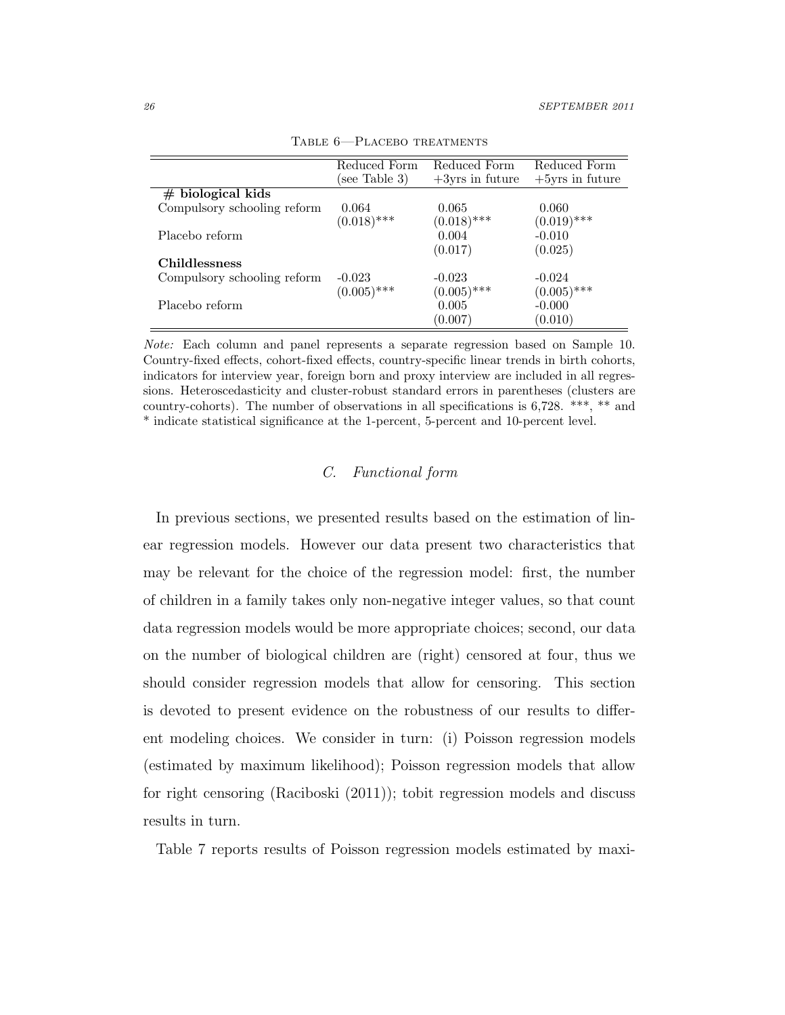|                             | Reduced Form<br>(see Table 3) | Reduced Form<br>$+3$ yrs in future | Reduced Form<br>$+5$ yrs in future |
|-----------------------------|-------------------------------|------------------------------------|------------------------------------|
| $#$ biological kids         |                               |                                    |                                    |
| Compulsory schooling reform | 0.064                         | 0.065                              | 0.060                              |
|                             | $(0.018)$ ***                 | $(0.018)$ ***                      | $(0.019)$ ***                      |
| Placebo reform              |                               | 0.004                              | $-0.010$                           |
|                             |                               | (0.017)                            | (0.025)                            |
| <b>Childlessness</b>        |                               |                                    |                                    |
| Compulsory schooling reform | $-0.023$                      | $-0.023$                           | $-0.024$                           |
|                             | $(0.005)$ ***                 | $(0.005)$ ***                      | $(0.005)$ ***                      |
| Placebo reform              |                               | 0.005                              | $-0.000$                           |
|                             |                               | (0.007)                            | (0.010)                            |

<span id="page-26-0"></span>Table 6—Placebo treatments

Note: Each column and panel represents a separate regression based on Sample 10. Country-fixed effects, cohort-fixed effects, country-specific linear trends in birth cohorts, indicators for interview year, foreign born and proxy interview are included in all regressions. Heteroscedasticity and cluster-robust standard errors in parentheses (clusters are country-cohorts). The number of observations in all specifications is 6,728. \*\*\*, \*\* and \* indicate statistical significance at the 1-percent, 5-percent and 10-percent level.

# C. Functional form

In previous sections, we presented results based on the estimation of linear regression models. However our data present two characteristics that may be relevant for the choice of the regression model: first, the number of children in a family takes only non-negative integer values, so that count data regression models would be more appropriate choices; second, our data on the number of biological children are (right) censored at four, thus we should consider regression models that allow for censoring. This section is devoted to present evidence on the robustness of our results to different modeling choices. We consider in turn: (i) Poisson regression models (estimated by maximum likelihood); Poisson regression models that allow for right censoring [\(Raciboski \(2011\)](#page-36-6)); tobit regression models and discuss results in turn.

Table [7](#page-26-0) reports results of Poisson regression models estimated by maxi-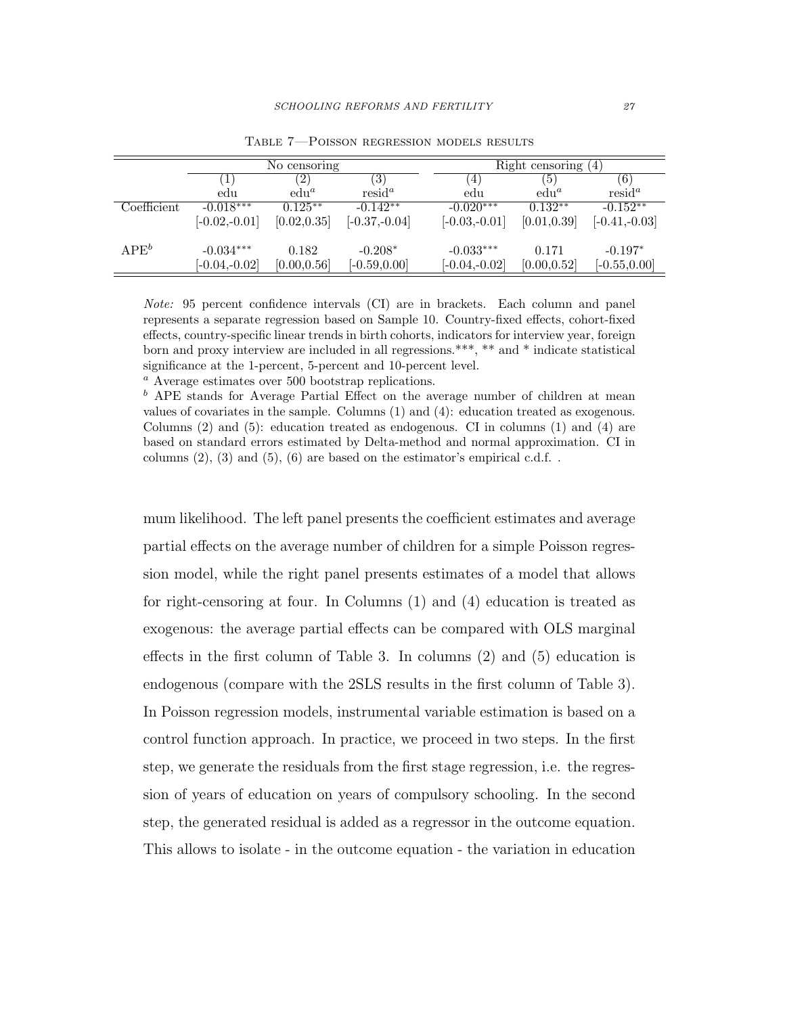|             | No censoring    |              |                   |  | Right censoring $(4)$ |              |                 |  |
|-------------|-----------------|--------------|-------------------|--|-----------------------|--------------|-----------------|--|
|             | $\perp$         | (2)          | $\left( 3\right)$ |  | $\overline{4}$        | (5)          | (6)             |  |
|             | edu             | $edu^a$      | $resid^a$         |  | edu                   | $edu^a$      | $resid^a$       |  |
| Coefficient | $-0.018***$     | $0.125***$   | $-0.142**$        |  | $-0.020***$           | $0.132**$    | $-0.152**$      |  |
|             | $[-0.02,-0.01]$ | [0.02, 0.35] | $[-0.37,-0.04]$   |  | $[-0.03,-0.01]$       | [0.01, 0.39] | $[-0.41,-0.03]$ |  |
| $APE^b$     | $-0.034***$     | 0.182        | $-0.208*$         |  | $-0.033***$           | 0.171        | $-0.197*$       |  |
|             | $[-0.04,-0.02]$ | [0.00, 0.56] | $[-0.59, 0.00]$   |  | $[-0.04,-0.02]$       | [0.00, 0.52] | $[-0.55, 0.00]$ |  |

Table 7—Poisson regression models results

Note: 95 percent confidence intervals (CI) are in brackets. Each column and panel represents a separate regression based on Sample 10. Country-fixed effects, cohort-fixed effects, country-specific linear trends in birth cohorts, indicators for interview year, foreign born and proxy interview are included in all regressions.\*\*\*, \*\* and \* indicate statistical significance at the 1-percent, 5-percent and 10-percent level.

<sup>a</sup> Average estimates over 500 bootstrap replications.

 $<sup>b</sup>$  APE stands for Average Partial Effect on the average number of children at mean</sup> values of covariates in the sample. Columns (1) and (4): education treated as exogenous. Columns  $(2)$  and  $(5)$ : education treated as endogenous. CI in columns  $(1)$  and  $(4)$  are based on standard errors estimated by Delta-method and normal approximation. CI in columns  $(2)$ ,  $(3)$  and  $(5)$ ,  $(6)$  are based on the estimator's empirical c.d.f..

<span id="page-27-0"></span>mum likelihood. The left panel presents the coefficient estimates and average partial effects on the average number of children for a simple Poisson regression model, while the right panel presents estimates of a model that allows for right-censoring at four. In Columns (1) and (4) education is treated as exogenous: the average partial effects can be compared with OLS marginal effects in the first column of Table [3.](#page-14-1) In columns (2) and (5) education is endogenous (compare with the 2SLS results in the first column of Table [3\)](#page-14-1). In Poisson regression models, instrumental variable estimation is based on a control function approach. In practice, we proceed in two steps. In the first step, we generate the residuals from the first stage regression, i.e. the regression of years of education on years of compulsory schooling. In the second step, the generated residual is added as a regressor in the outcome equation. This allows to isolate - in the outcome equation - the variation in education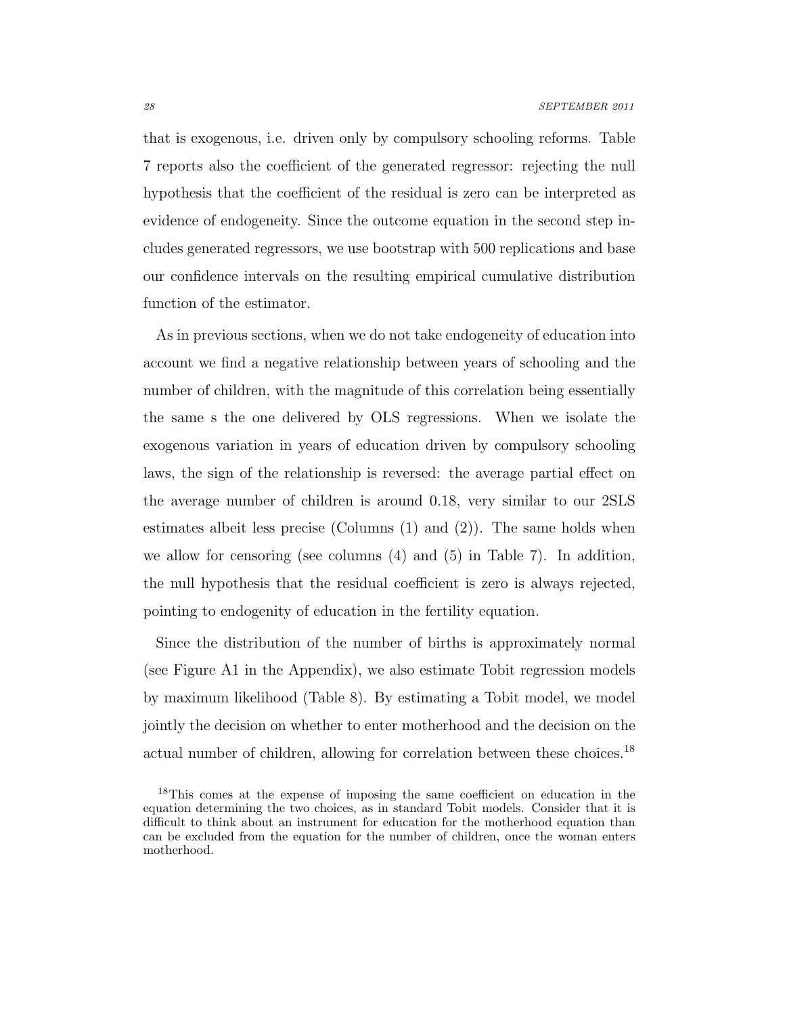<span id="page-28-0"></span>that is exogenous, i.e. driven only by compulsory schooling reforms. Table [7](#page-26-0) reports also the coefficient of the generated regressor: rejecting the null hypothesis that the coefficient of the residual is zero can be interpreted as evidence of endogeneity. Since the outcome equation in the second step includes generated regressors, we use bootstrap with 500 replications and base our confidence intervals on the resulting empirical cumulative distribution function of the estimator.

As in previous sections, when we do not take endogeneity of education into account we find a negative relationship between years of schooling and the number of children, with the magnitude of this correlation being essentially the same s the one delivered by OLS regressions. When we isolate the exogenous variation in years of education driven by compulsory schooling laws, the sign of the relationship is reversed: the average partial effect on the average number of children is around 0.18, very similar to our 2SLS estimates albeit less precise (Columns (1) and (2)). The same holds when we allow for censoring (see columns (4) and (5) in Table [7\)](#page-26-0). In addition, the null hypothesis that the residual coefficient is zero is always rejected, pointing to endogenity of education in the fertility equation.

Since the distribution of the number of births is approximately normal (see Figure [A1](#page-37-0) in the Appendix), we also estimate Tobit regression models by maximum likelihood (Table [8\)](#page-28-0). By estimating a Tobit model, we model jointly the decision on whether to enter motherhood and the decision on the actual number of children, allowing for correlation between these choices.<sup>[18](#page-27-0)</sup>

<sup>&</sup>lt;sup>18</sup>This comes at the expense of imposing the same coefficient on education in the equation determining the two choices, as in standard Tobit models. Consider that it is difficult to think about an instrument for education for the motherhood equation than can be excluded from the equation for the number of children, once the woman enters motherhood.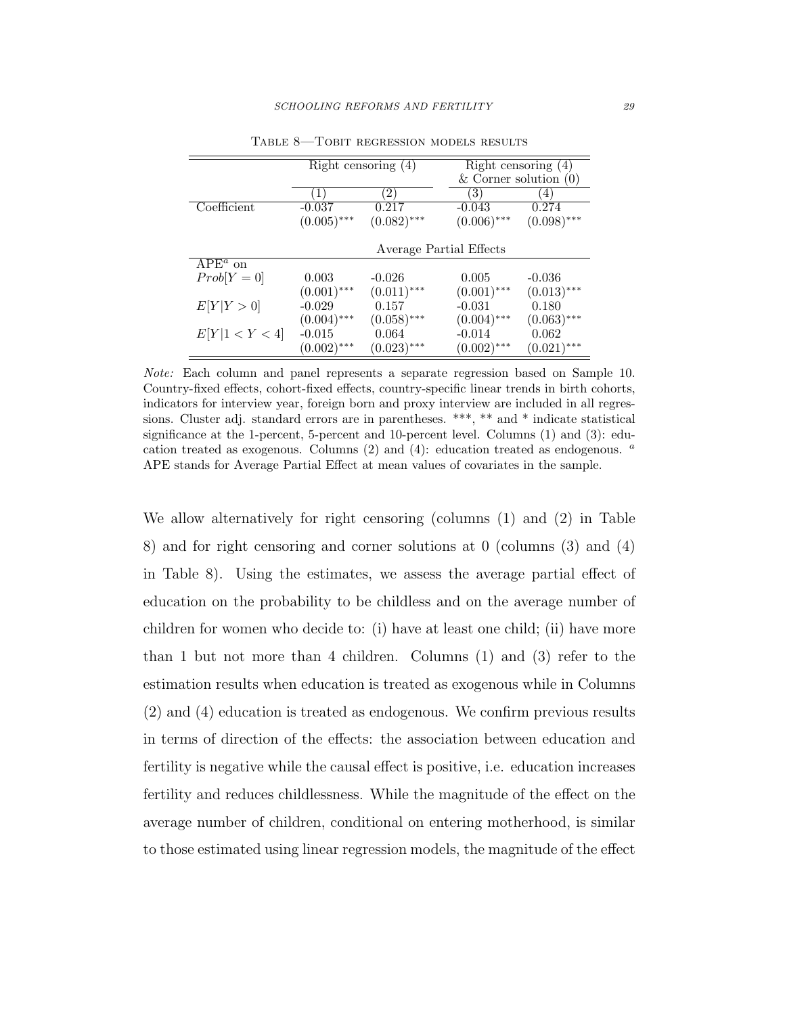|                |               | Right censoring $(4)$ |                         | Right censoring $(4)$   |
|----------------|---------------|-----------------------|-------------------------|-------------------------|
|                |               |                       |                         | & Corner solution $(0)$ |
|                | $\perp$       | $2^{\prime}$          | 3                       | $\left( 4\right)$       |
| Coefficient    | $-0.037$      | 0.217                 | $-0.043$                | 0.274                   |
|                | $(0.005)$ *** | $(0.082)$ ***         | $(0.006)$ ***           | $(0.098)$ ***           |
|                |               |                       |                         |                         |
|                |               |                       | Average Partial Effects |                         |
| $APEa$ on      |               |                       |                         |                         |
| $Prob[Y=0]$    | 0.003         | $-0.026$              | 0.005                   | $-0.036$                |
|                | $(0.001)$ *** | $(0.011)$ ***         | $(0.001)$ ***           | $(0.013)$ ***           |
| E[Y Y>0]       | $-0.029$      | 0.157                 | $-0.031$                | 0.180                   |
|                | $(0.004)$ *** | $(0.058)$ ***         | $(0.004)$ ***           | $(0.063)$ ***           |
| E[Y 1 < Y < 4] | $-0.015$      | 0.064                 | $-0.014$                | 0.062                   |
|                | $(0.002)$ *** | $(0.023)$ ***         | $(0.002)$ ***           | $(0.021)$ ***           |

Table 8—Tobit regression models results

<span id="page-29-0"></span>Note: Each column and panel represents a separate regression based on Sample 10. Country-fixed effects, cohort-fixed effects, country-specific linear trends in birth cohorts, indicators for interview year, foreign born and proxy interview are included in all regressions. Cluster adj. standard errors are in parentheses. \*\*\*, \*\* and \* indicate statistical significance at the 1-percent, 5-percent and 10-percent level. Columns (1) and (3): education treated as exogenous. Columns (2) and (4): education treated as endogenous.  $a$ APE stands for Average Partial Effect at mean values of covariates in the sample.

We allow alternatively for right censoring (columns (1) and (2) in Table [8\)](#page-28-0) and for right censoring and corner solutions at 0 (columns (3) and (4) in Table [8\)](#page-28-0). Using the estimates, we assess the average partial effect of education on the probability to be childless and on the average number of children for women who decide to: (i) have at least one child; (ii) have more than 1 but not more than 4 children. Columns (1) and (3) refer to the estimation results when education is treated as exogenous while in Columns (2) and (4) education is treated as endogenous. We confirm previous results in terms of direction of the effects: the association between education and fertility is negative while the causal effect is positive, i.e. education increases fertility and reduces childlessness. While the magnitude of the effect on the average number of children, conditional on entering motherhood, is similar to those estimated using linear regression models, the magnitude of the effect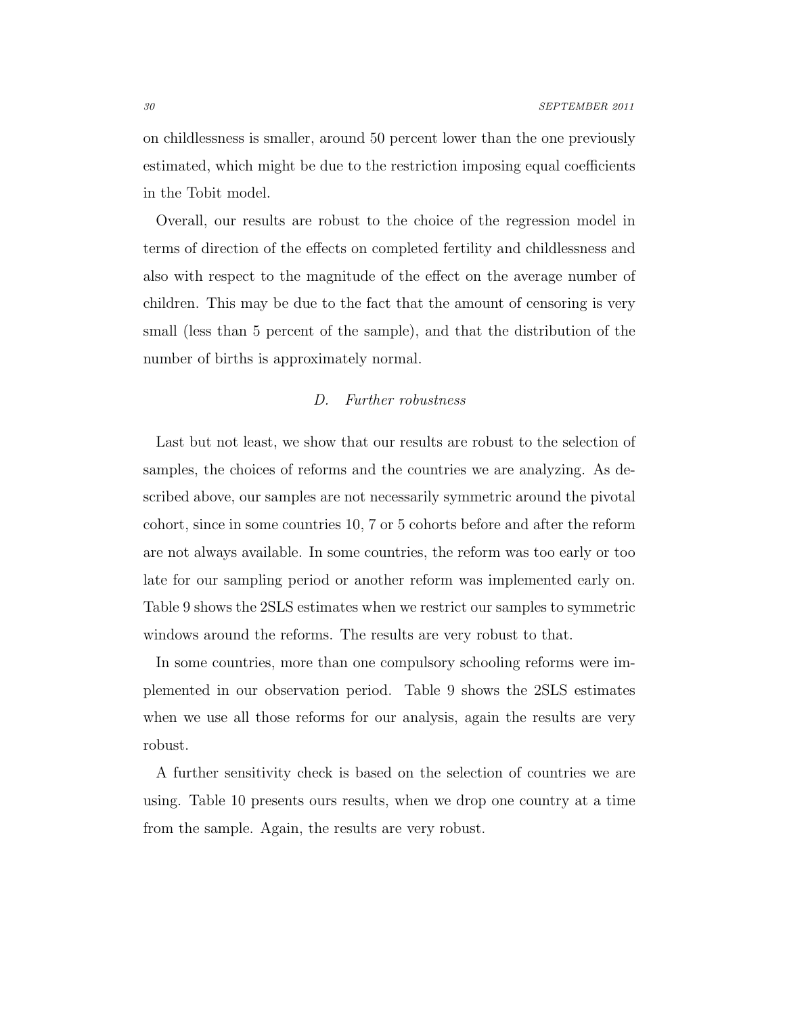<span id="page-30-0"></span>on childlessness is smaller, around 50 percent lower than the one previously estimated, which might be due to the restriction imposing equal coefficients in the Tobit model.

Overall, our results are robust to the choice of the regression model in terms of direction of the effects on completed fertility and childlessness and also with respect to the magnitude of the effect on the average number of children. This may be due to the fact that the amount of censoring is very small (less than 5 percent of the sample), and that the distribution of the number of births is approximately normal.

### <span id="page-30-1"></span>D. Further robustness

Last but not least, we show that our results are robust to the selection of samples, the choices of reforms and the countries we are analyzing. As described above, our samples are not necessarily symmetric around the pivotal cohort, since in some countries 10, 7 or 5 cohorts before and after the reform are not always available. In some countries, the reform was too early or too late for our sampling period or another reform was implemented early on. Table [9](#page-30-0) shows the 2SLS estimates when we restrict our samples to symmetric windows around the reforms. The results are very robust to that.

In some countries, more than one compulsory schooling reforms were implemented in our observation period. Table [9](#page-30-0) shows the 2SLS estimates when we use all those reforms for our analysis, again the results are very robust.

A further sensitivity check is based on the selection of countries we are using. Table [10](#page-30-1) presents ours results, when we drop one country at a time from the sample. Again, the results are very robust.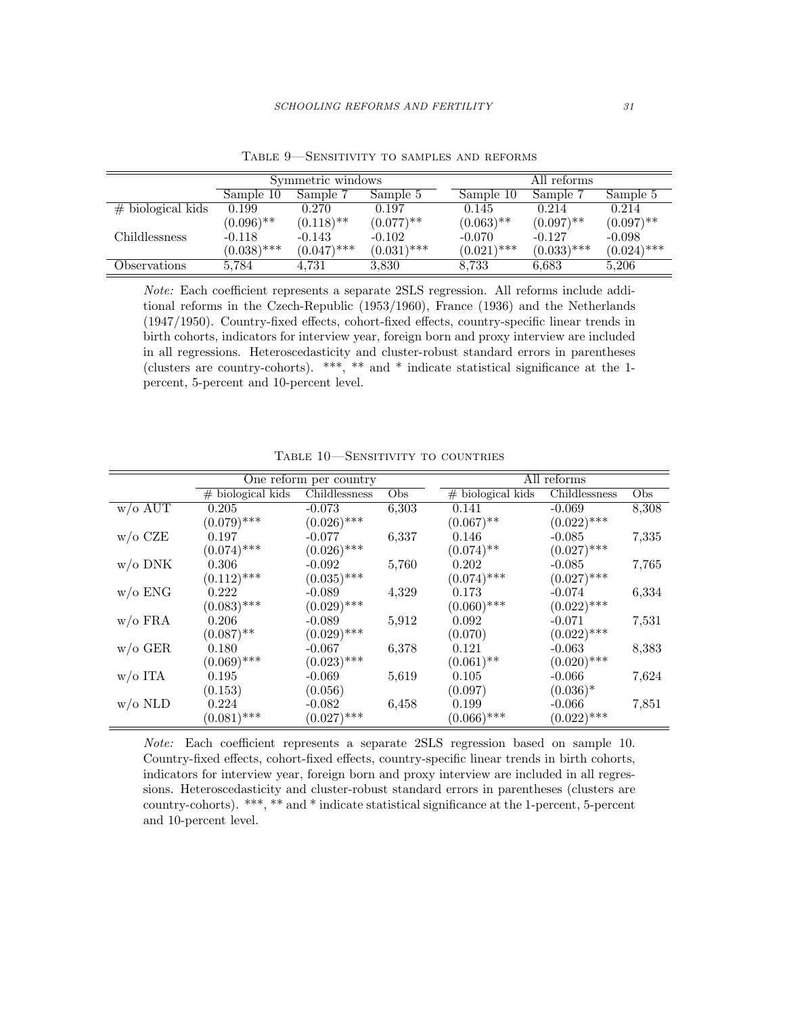|                      |               | Symmetric windows       |               |               | All reforms   |               |  |
|----------------------|---------------|-------------------------|---------------|---------------|---------------|---------------|--|
|                      | Sample 10     | Sample 7                | Sample 5      | Sample 10     | Sample 7      | Sample 5      |  |
| $#$ biological kids  | 0.199         | 0.270                   | 0.197         | 0.145         | 0.214         | 0.214         |  |
|                      | $(0.096)$ **  | $(0.118)$ <sup>**</sup> | $(0.077)$ **  | $(0.063)$ **  | $(0.097)$ **  | $(0.097)$ **  |  |
| <i>Childlessness</i> | $-0.118$      | $-0.143$                | $-0.102$      | $-0.070$      | $-0.127$      | $-0.098$      |  |
|                      | $(0.038)$ *** | $(0.047)$ ***           | $(0.031)$ *** | $(0.021)$ *** | $(0.033)$ *** | $(0.024)$ *** |  |
| Observations         | 5.784         | 4.731                   | 3,830         | 8.733         | 6.683         | 5.206         |  |

Table 9—Sensitivity to samples and reforms

Note: Each coefficient represents a separate 2SLS regression. All reforms include additional reforms in the Czech-Republic (1953/1960), France (1936) and the Netherlands (1947/1950). Country-fixed effects, cohort-fixed effects, country-specific linear trends in birth cohorts, indicators for interview year, foreign born and proxy interview are included in all regressions. Heteroscedasticity and cluster-robust standard errors in parentheses (clusters are country-cohorts). \*\*\*, \*\* and \* indicate statistical significance at the 1 percent, 5-percent and 10-percent level.

|                    |                     | One reform per country |       | All reforms         |               |       |  |
|--------------------|---------------------|------------------------|-------|---------------------|---------------|-------|--|
|                    | $#$ biological kids | Childlessness          | Obs   | $#$ biological kids | Childlessness | Obs   |  |
| $w$ /o AUT         | 0.205               | $-0.073$               | 6,303 | 0.141               | $-0.069$      | 8,308 |  |
|                    | $(0.079)$ ***       | $(0.026)$ ***          |       | $(0.067)$ **        | $(0.022)$ *** |       |  |
| $w/o$ CZE          | 0.197               | $-0.077$               | 6,337 | 0.146               | $-0.085$      | 7,335 |  |
|                    | $(0.074)$ ***       | $(0.026)$ ***          |       | $(0.074)$ **        | $(0.027)$ *** |       |  |
| $w/o$ DNK          | 0.306               | $-0.092$               | 5,760 | 0.202               | $-0.085$      | 7,765 |  |
|                    | $(0.112)$ ***       | $(0.035)$ ***          |       | $(0.074)$ ***       | $(0.027)$ *** |       |  |
| $w/o$ ENG          | 0.222               | $-0.089$               | 4,329 | 0.173               | $-0.074$      | 6,334 |  |
|                    | $(0.083)$ ***       | $(0.029)$ ***          |       | $(0.060)$ ***       | $(0.022)$ *** |       |  |
| $w$ /o FRA         | 0.206               | $-0.089$               | 5,912 | 0.092               | $-0.071$      | 7,531 |  |
|                    | $(0.087)$ **        | $(0.029)$ ***          |       | (0.070)             | $(0.022)$ *** |       |  |
| $w/\mathrm{o}$ GER | 0.180               | $-0.067$               | 6,378 | 0.121               | $-0.063$      | 8,383 |  |
|                    | $(0.069)$ ***       | $(0.023)$ ***          |       | $(0.061)$ **        | $(0.020)$ *** |       |  |
| $w/o$ ITA          | 0.195               | $-0.069$               | 5,619 | 0.105               | $-0.066$      | 7,624 |  |
|                    | (0.153)             | (0.056)                |       | (0.097)             | $(0.036)^*$   |       |  |
| $w$ /0 NLD         | 0.224               | $-0.082$               | 6,458 | 0.199               | $-0.066$      | 7,851 |  |
|                    | $(0.081)$ ***       | $(0.027)$ ***          |       | $(0.066)$ ***       | $(0.022)$ *** |       |  |

TABLE 10-SENSITIVITY TO COUNTRIES

Note: Each coefficient represents a separate 2SLS regression based on sample 10. Country-fixed effects, cohort-fixed effects, country-specific linear trends in birth cohorts, indicators for interview year, foreign born and proxy interview are included in all regressions. Heteroscedasticity and cluster-robust standard errors in parentheses (clusters are country-cohorts). \*\*\*, \*\* and \* indicate statistical significance at the 1-percent, 5-percent and 10-percent level.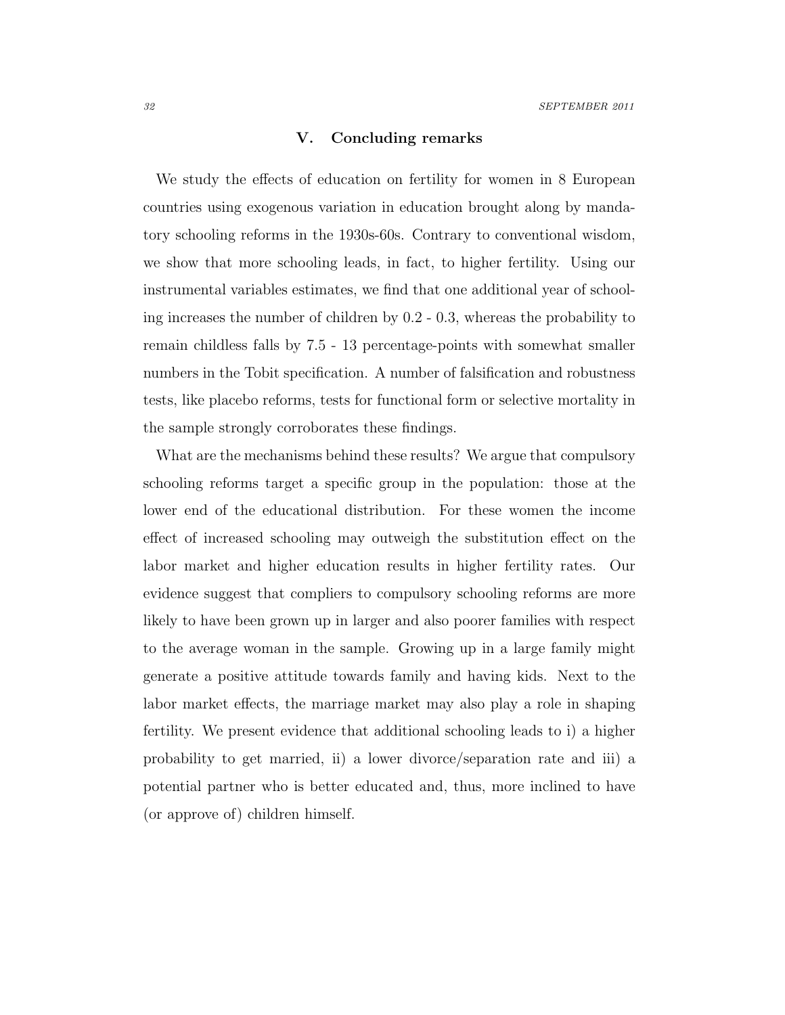#### V. Concluding remarks

<span id="page-32-4"></span><span id="page-32-3"></span>We study the effects of education on fertility for women in 8 European countries using exogenous variation in education brought along by mandatory schooling reforms in the 1930s-60s. Contrary to conventional wisdom, we show that more schooling leads, in fact, to higher fertility. Using our instrumental variables estimates, we find that one additional year of schooling increases the number of children by 0.2 - 0.3, whereas the probability to remain childless falls by 7.5 - 13 percentage-points with somewhat smaller numbers in the Tobit specification. A number of falsification and robustness tests, like placebo reforms, tests for functional form or selective mortality in the sample strongly corroborates these findings.

<span id="page-32-7"></span><span id="page-32-6"></span><span id="page-32-5"></span><span id="page-32-2"></span><span id="page-32-1"></span><span id="page-32-0"></span>What are the mechanisms behind these results? We argue that compulsory schooling reforms target a specific group in the population: those at the lower end of the educational distribution. For these women the income effect of increased schooling may outweigh the substitution effect on the labor market and higher education results in higher fertility rates. Our evidence suggest that compliers to compulsory schooling reforms are more likely to have been grown up in larger and also poorer families with respect to the average woman in the sample. Growing up in a large family might generate a positive attitude towards family and having kids. Next to the labor market effects, the marriage market may also play a role in shaping fertility. We present evidence that additional schooling leads to i) a higher probability to get married, ii) a lower divorce/separation rate and iii) a potential partner who is better educated and, thus, more inclined to have (or approve of) children himself.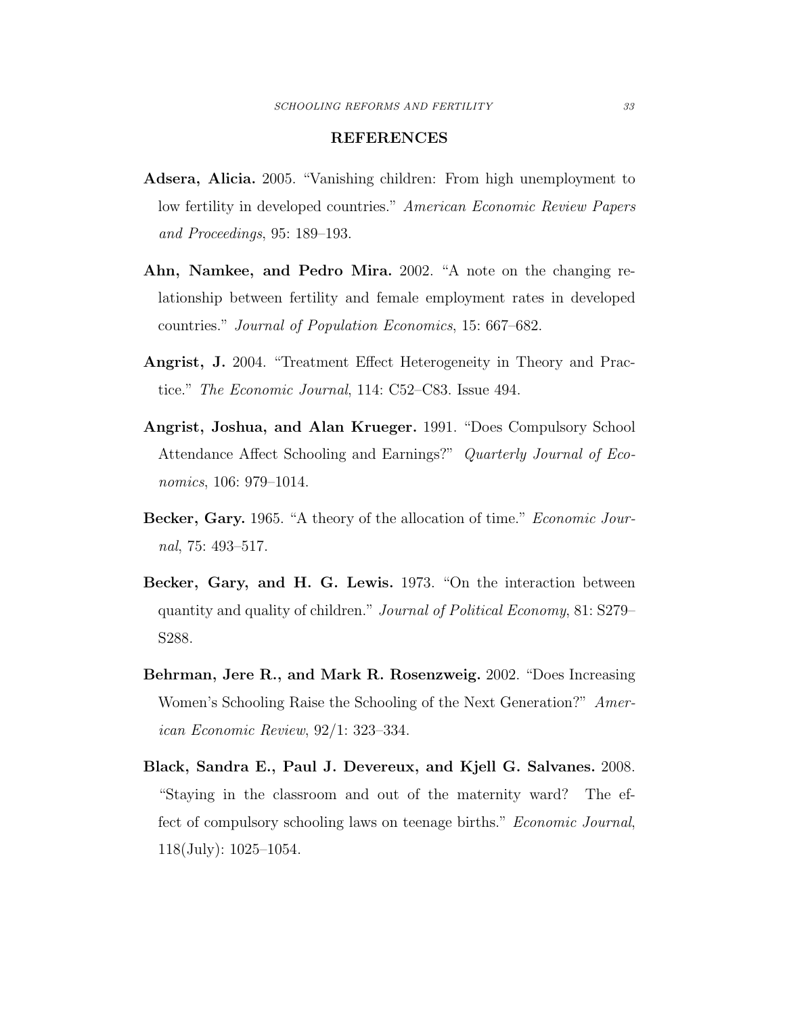#### REFERENCES

- <span id="page-33-5"></span><span id="page-33-4"></span>Adsera, Alicia. 2005. "Vanishing children: From high unemployment to low fertility in developed countries." American Economic Review Papers and Proceedings, 95: 189–193.
- Ahn, Namkee, and Pedro Mira. 2002. "A note on the changing relationship between fertility and female employment rates in developed countries." Journal of Population Economics, 15: 667–682.
- <span id="page-33-3"></span>Angrist, J. 2004. "Treatment Effect Heterogeneity in Theory and Practice." The Economic Journal, 114: C52–C83. Issue 494.
- <span id="page-33-2"></span>Angrist, Joshua, and Alan Krueger. 1991. "Does Compulsory School Attendance Affect Schooling and Earnings?" Quarterly Journal of Economics, 106: 979–1014.
- <span id="page-33-0"></span>Becker, Gary. 1965. "A theory of the allocation of time." Economic Journal, 75: 493–517.
- <span id="page-33-1"></span>Becker, Gary, and H. G. Lewis. 1973. "On the interaction between quantity and quality of children." Journal of Political Economy, 81: S279– S288.
- <span id="page-33-7"></span>Behrman, Jere R., and Mark R. Rosenzweig. 2002. "Does Increasing Women's Schooling Raise the Schooling of the Next Generation?" American Economic Review, 92/1: 323–334.
- <span id="page-33-6"></span>Black, Sandra E., Paul J. Devereux, and Kjell G. Salvanes. 2008. "Staying in the classroom and out of the maternity ward? The effect of compulsory schooling laws on teenage births." Economic Journal, 118(July): 1025–1054.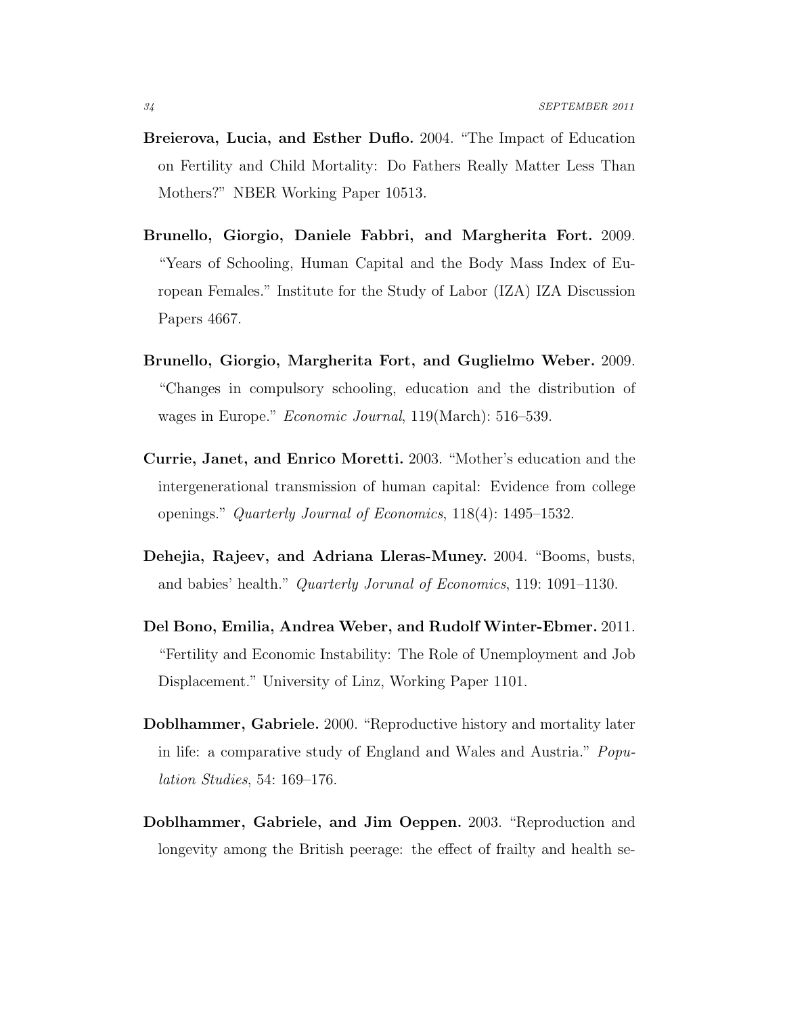- Breierova, Lucia, and Esther Duflo. 2004. "The Impact of Education on Fertility and Child Mortality: Do Fathers Really Matter Less Than Mothers?" NBER Working Paper 10513.
- <span id="page-34-5"></span><span id="page-34-1"></span>Brunello, Giorgio, Daniele Fabbri, and Margherita Fort. 2009. "Years of Schooling, Human Capital and the Body Mass Index of European Females." Institute for the Study of Labor (IZA) IZA Discussion Papers 4667.
- <span id="page-34-0"></span>Brunello, Giorgio, Margherita Fort, and Guglielmo Weber. 2009. "Changes in compulsory schooling, education and the distribution of wages in Europe." Economic Journal, 119(March): 516–539.
- <span id="page-34-6"></span>Currie, Janet, and Enrico Moretti. 2003. "Mother's education and the intergenerational transmission of human capital: Evidence from college openings." Quarterly Journal of Economics, 118(4): 1495–1532.
- <span id="page-34-4"></span>Dehejia, Rajeev, and Adriana Lleras-Muney. 2004. "Booms, busts, and babies' health." Quarterly Jorunal of Economics, 119: 1091–1130.
- Del Bono, Emilia, Andrea Weber, and Rudolf Winter-Ebmer. 2011. "Fertility and Economic Instability: The Role of Unemployment and Job Displacement." University of Linz, Working Paper 1101.
- <span id="page-34-3"></span><span id="page-34-2"></span>Doblhammer, Gabriele. 2000. "Reproductive history and mortality later in life: a comparative study of England and Wales and Austria." Population Studies, 54: 169–176.
- Doblhammer, Gabriele, and Jim Oeppen. 2003. "Reproduction and longevity among the British peerage: the effect of frailty and health se-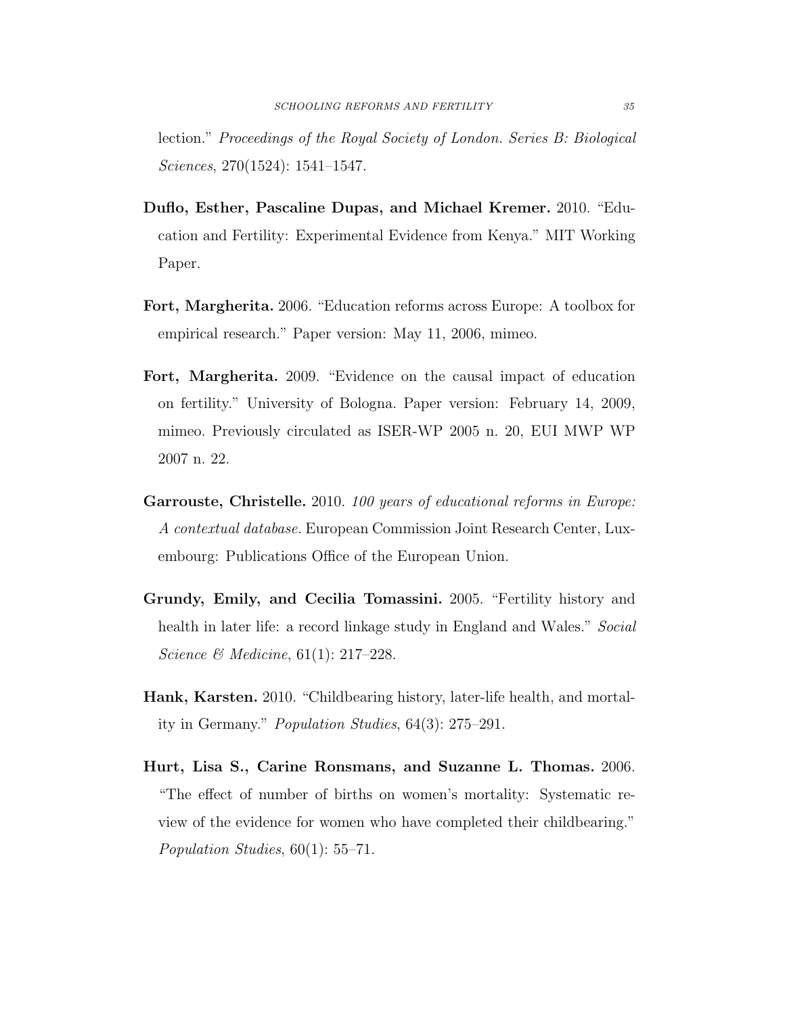<span id="page-35-5"></span>lection." Proceedings of the Royal Society of London. Series B: Biological Sciences, 270(1524): 1541–1547.

- <span id="page-35-6"></span>Duflo, Esther, Pascaline Dupas, and Michael Kremer. 2010. "Education and Fertility: Experimental Evidence from Kenya." MIT Working Paper.
- <span id="page-35-4"></span>Fort, Margherita. 2006. "Education reforms across Europe: A toolbox for empirical research." Paper version: May 11, 2006, mimeo.
- <span id="page-35-2"></span>Fort, Margherita. 2009. "Evidence on the causal impact of education on fertility." University of Bologna. Paper version: February 14, 2009, mimeo. Previously circulated as ISER-WP 2005 n. 20, EUI MWP WP 2007 n. 22.
- <span id="page-35-7"></span>Garrouste, Christelle. 2010. 100 years of educational reforms in Europe: A contextual database. European Commission Joint Research Center, Luxembourg: Publications Office of the European Union.
- <span id="page-35-0"></span>Grundy, Emily, and Cecilia Tomassini. 2005. "Fertility history and health in later life: a record linkage study in England and Wales." Social Science & Medicine, 61(1): 217–228.
- <span id="page-35-3"></span>Hank, Karsten. 2010. "Childbearing history, later-life health, and mortality in Germany." Population Studies, 64(3): 275–291.
- <span id="page-35-1"></span>Hurt, Lisa S., Carine Ronsmans, and Suzanne L. Thomas. 2006. "The effect of number of births on women's mortality: Systematic review of the evidence for women who have completed their childbearing." Population Studies, 60(1): 55–71.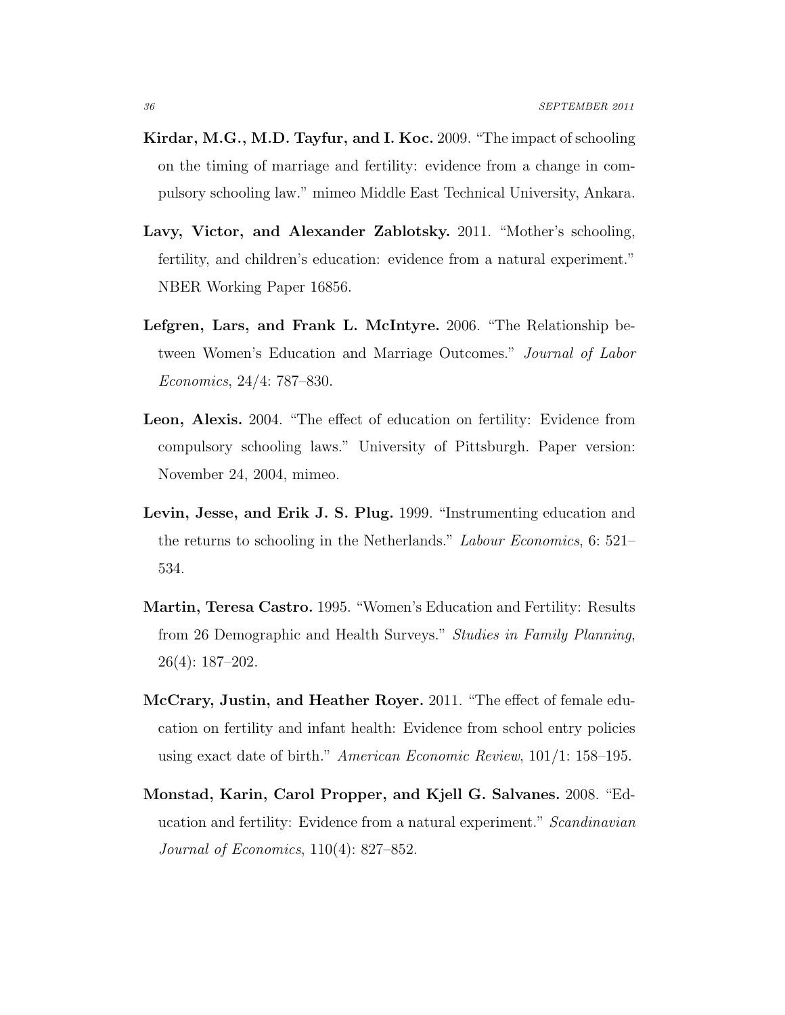- <span id="page-36-2"></span>Kirdar, M.G., M.D. Tayfur, and I. Koc. 2009. "The impact of schooling on the timing of marriage and fertility: evidence from a change in compulsory schooling law." mimeo Middle East Technical University, Ankara.
- <span id="page-36-4"></span>Lavy, Victor, and Alexander Zablotsky. 2011. "Mother's schooling, fertility, and children's education: evidence from a natural experiment." NBER Working Paper 16856.
- <span id="page-36-6"></span><span id="page-36-0"></span>Lefgren, Lars, and Frank L. McIntyre. 2006. "The Relationship between Women's Education and Marriage Outcomes." Journal of Labor Economics, 24/4: 787–830.
- <span id="page-36-5"></span>Leon, Alexis. 2004. "The effect of education on fertility: Evidence from compulsory schooling laws." University of Pittsburgh. Paper version: November 24, 2004, mimeo.
- <span id="page-36-1"></span>Levin, Jesse, and Erik J. S. Plug. 1999. "Instrumenting education and the returns to schooling in the Netherlands." Labour Economics, 6: 521– 534.
- <span id="page-36-3"></span>Martin, Teresa Castro. 1995. "Women's Education and Fertility: Results from 26 Demographic and Health Surveys." Studies in Family Planning, 26(4): 187–202.
- McCrary, Justin, and Heather Royer. 2011. "The effect of female education on fertility and infant health: Evidence from school entry policies using exact date of birth." American Economic Review, 101/1: 158–195.
- Monstad, Karin, Carol Propper, and Kjell G. Salvanes. 2008. "Education and fertility: Evidence from a natural experiment." Scandinavian Journal of Economics, 110(4): 827–852.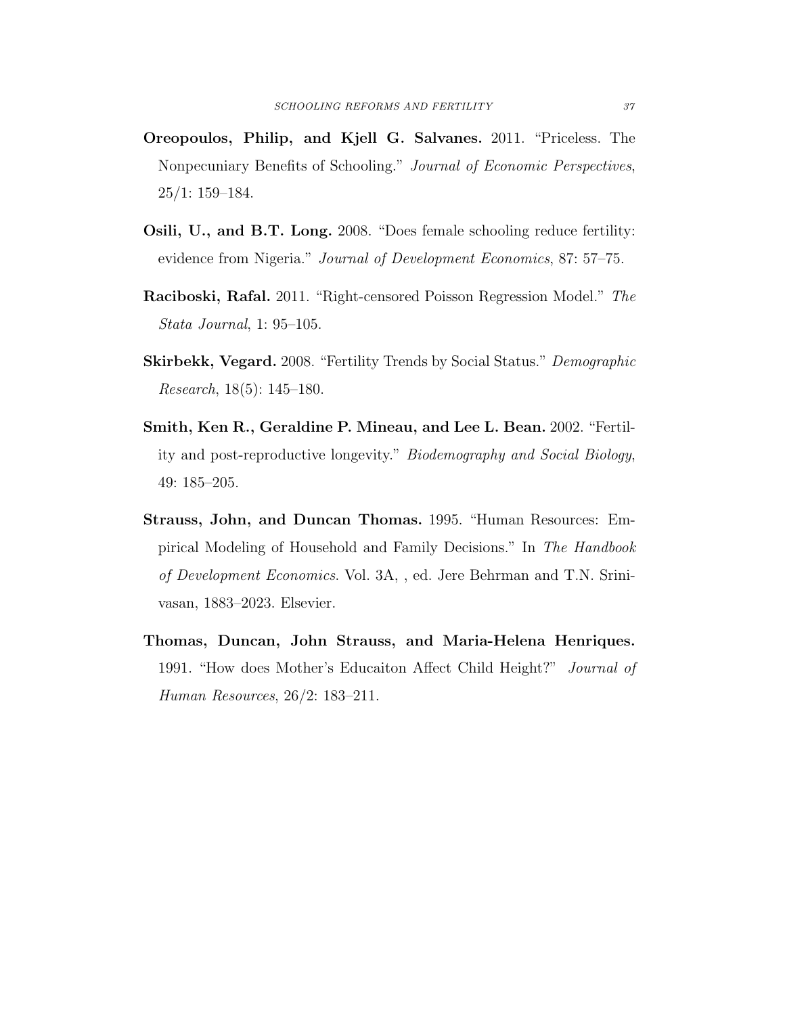- Oreopoulos, Philip, and Kjell G. Salvanes. 2011. "Priceless. The Nonpecuniary Benefits of Schooling." Journal of Economic Perspectives, 25/1: 159–184.
- Osili, U., and B.T. Long. 2008. "Does female schooling reduce fertility: evidence from Nigeria." Journal of Development Economics, 87: 57–75.
- Raciboski, Rafal. 2011. "Right-censored Poisson Regression Model." The Stata Journal, 1: 95–105.
- Skirbekk, Vegard. 2008. "Fertility Trends by Social Status." Demographic Research, 18(5): 145–180.
- <span id="page-37-0"></span>Smith, Ken R., Geraldine P. Mineau, and Lee L. Bean. 2002. "Fertility and post-reproductive longevity." Biodemography and Social Biology, 49: 185–205.
- Strauss, John, and Duncan Thomas. 1995. "Human Resources: Empirical Modeling of Household and Family Decisions." In The Handbook of Development Economics. Vol. 3A, , ed. Jere Behrman and T.N. Srinivasan, 1883–2023. Elsevier.
- Thomas, Duncan, John Strauss, and Maria-Helena Henriques. 1991. "How does Mother's Educaiton Affect Child Height?" Journal of Human Resources, 26/2: 183–211.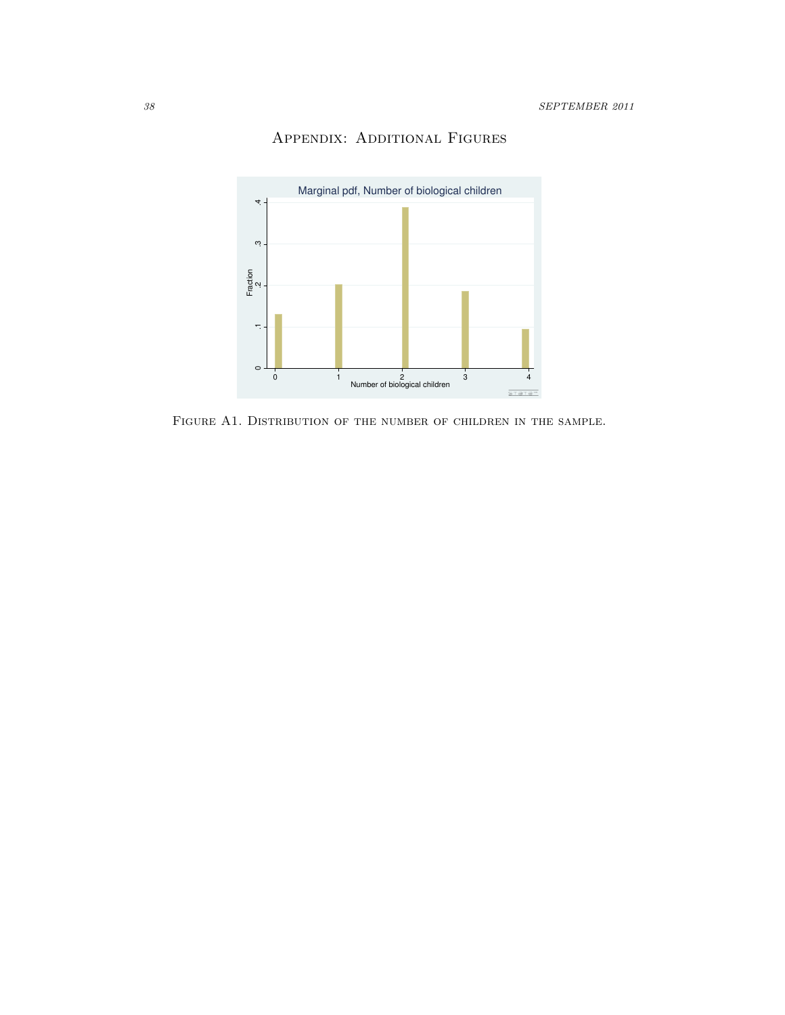

# Appendix: Additional Figures

Figure A1. Distribution of the number of children in the sample.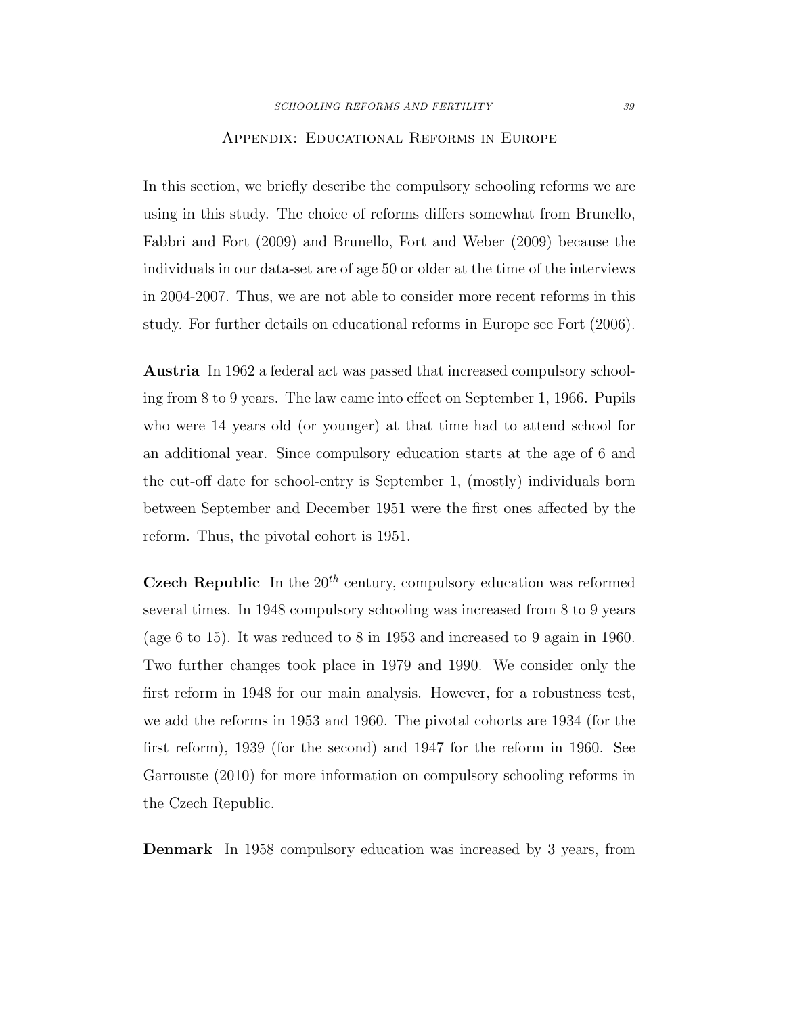#### Appendix: Educational Reforms in Europe

In this section, we briefly describe the compulsory schooling reforms we are using in this study. The choice of reforms differs somewhat from [Brunello,](#page-33-4) [Fabbri and Fort \(2009\)](#page-33-4) and [Brunello, Fort and Weber \(2009\)](#page-33-3) because the individuals in our data-set are of age 50 or older at the time of the interviews in 2004-2007. Thus, we are not able to consider more recent reforms in this study. For further details on educational reforms in Europe see [Fort \(2006\)](#page-34-5).

Austria In 1962 a federal act was passed that increased compulsory schooling from 8 to 9 years. The law came into effect on September 1, 1966. Pupils who were 14 years old (or younger) at that time had to attend school for an additional year. Since compulsory education starts at the age of 6 and the cut-off date for school-entry is September 1, (mostly) individuals born between September and December 1951 were the first ones affected by the reform. Thus, the pivotal cohort is 1951.

Czech Republic In the  $20^{th}$  century, compulsory education was reformed several times. In 1948 compulsory schooling was increased from 8 to 9 years (age 6 to 15). It was reduced to 8 in 1953 and increased to 9 again in 1960. Two further changes took place in 1979 and 1990. We consider only the first reform in 1948 for our main analysis. However, for a robustness test, we add the reforms in 1953 and 1960. The pivotal cohorts are 1934 (for the first reform), 1939 (for the second) and 1947 for the reform in 1960. See [Garrouste \(2010\)](#page-34-6) for more information on compulsory schooling reforms in the Czech Republic.

Denmark In 1958 compulsory education was increased by 3 years, from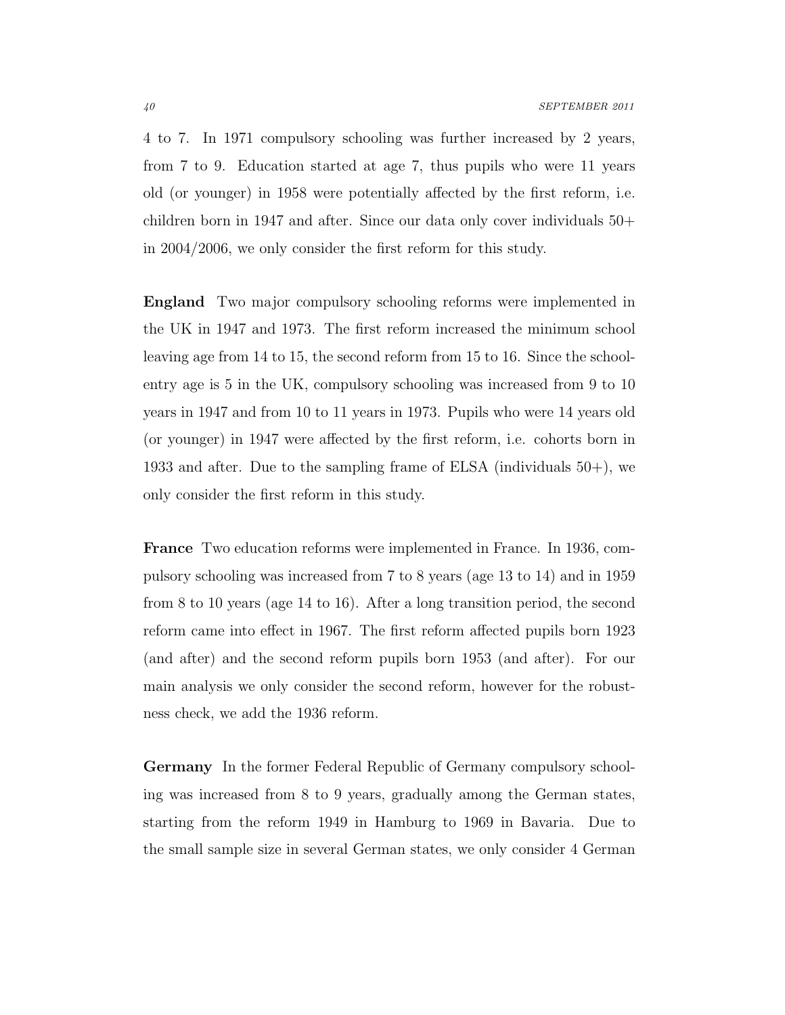4 to 7. In 1971 compulsory schooling was further increased by 2 years, from 7 to 9. Education started at age 7, thus pupils who were 11 years old (or younger) in 1958 were potentially affected by the first reform, i.e. children born in 1947 and after. Since our data only cover individuals 50+ in 2004/2006, we only consider the first reform for this study.

England Two major compulsory schooling reforms were implemented in the UK in 1947 and 1973. The first reform increased the minimum school leaving age from 14 to 15, the second reform from 15 to 16. Since the schoolentry age is 5 in the UK, compulsory schooling was increased from 9 to 10 years in 1947 and from 10 to 11 years in 1973. Pupils who were 14 years old (or younger) in 1947 were affected by the first reform, i.e. cohorts born in 1933 and after. Due to the sampling frame of ELSA (individuals 50+), we only consider the first reform in this study.

France Two education reforms were implemented in France. In 1936, compulsory schooling was increased from 7 to 8 years (age 13 to 14) and in 1959 from 8 to 10 years (age 14 to 16). After a long transition period, the second reform came into effect in 1967. The first reform affected pupils born 1923 (and after) and the second reform pupils born 1953 (and after). For our main analysis we only consider the second reform, however for the robustness check, we add the 1936 reform.

Germany In the former Federal Republic of Germany compulsory schooling was increased from 8 to 9 years, gradually among the German states, starting from the reform 1949 in Hamburg to 1969 in Bavaria. Due to the small sample size in several German states, we only consider 4 German